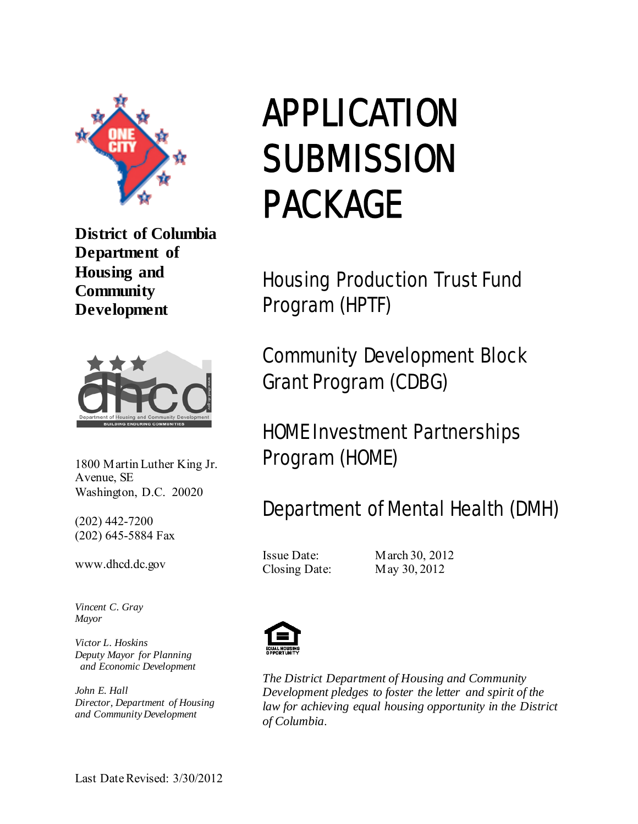

**District of Columbia Department of Housing and Community Development** 



1800 Martin Luther King Jr. Avenue, SE Washington, D.C. 20020

(202) 442-7200 (202) 645-5884 Fax

www.dhcd.dc.gov

*Vincent C. Gray Mayor* 

*Victor L. Hoskins Deputy Mayor for Planning and Economic Development*

*John E. Hall Director, Department of Housing and Community Development* 

# APPLICATION **SUBMISSION** PACKAGE

Housing Production Trust Fund Program (HPTF)

Community Development Block Grant Program (CDBG)

# HOME Investment Partnerships Program (HOME)

## Department of Mental Health (DMH)

Issue Date: March 30, 2012 Closing Date: May 30, 2012



*The District Department of Housing and Community Development pledges to foster the letter and spirit of the law for achieving equal housing opportunity in the District of Columbia*.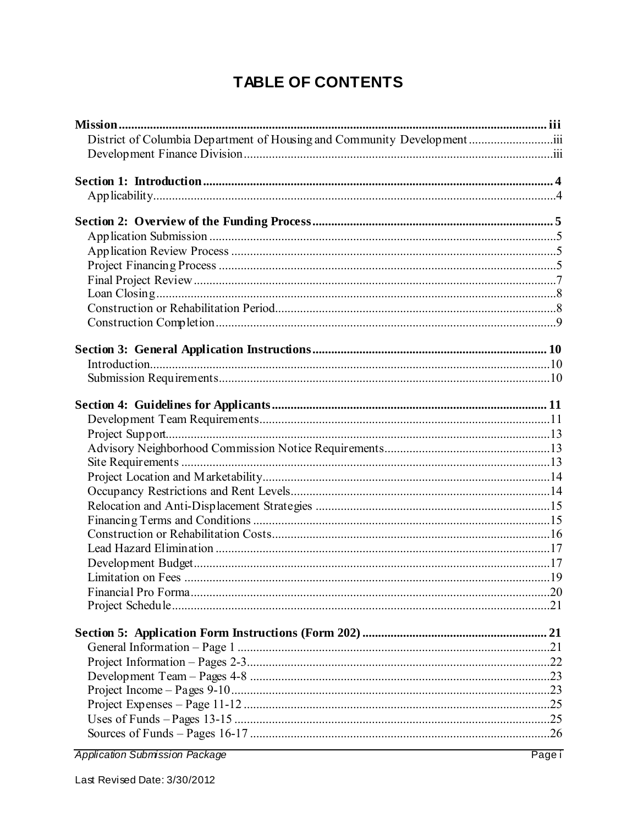## TABLE OF CONTENTS

| District of Columbia Department of Housing and Community Development |  |
|----------------------------------------------------------------------|--|
|                                                                      |  |
|                                                                      |  |
|                                                                      |  |
|                                                                      |  |
|                                                                      |  |
|                                                                      |  |
|                                                                      |  |
|                                                                      |  |
|                                                                      |  |
|                                                                      |  |
|                                                                      |  |
|                                                                      |  |
|                                                                      |  |
|                                                                      |  |
|                                                                      |  |
|                                                                      |  |
|                                                                      |  |
|                                                                      |  |
|                                                                      |  |
|                                                                      |  |
|                                                                      |  |
|                                                                      |  |
|                                                                      |  |
|                                                                      |  |
|                                                                      |  |
|                                                                      |  |
|                                                                      |  |
|                                                                      |  |
|                                                                      |  |
|                                                                      |  |
|                                                                      |  |
|                                                                      |  |
|                                                                      |  |
|                                                                      |  |
|                                                                      |  |
|                                                                      |  |
|                                                                      |  |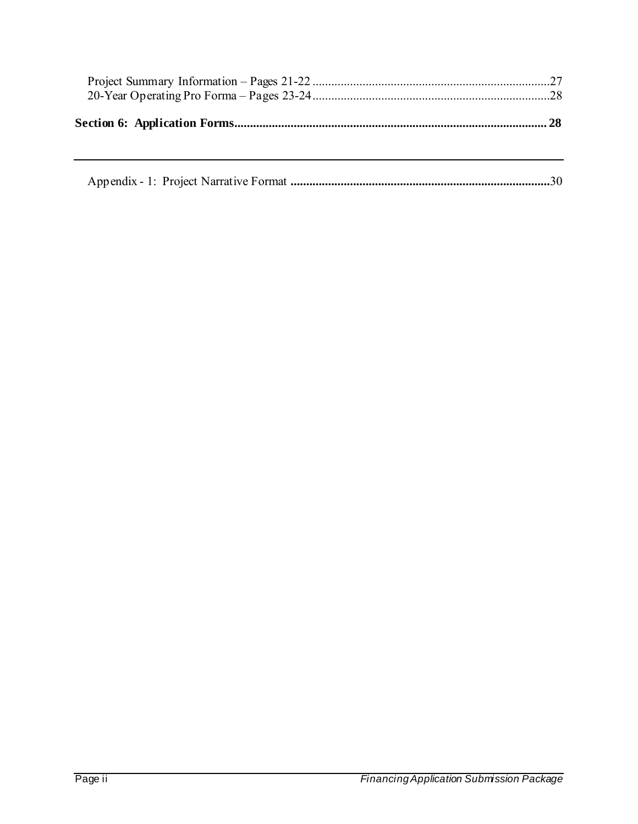|--|--|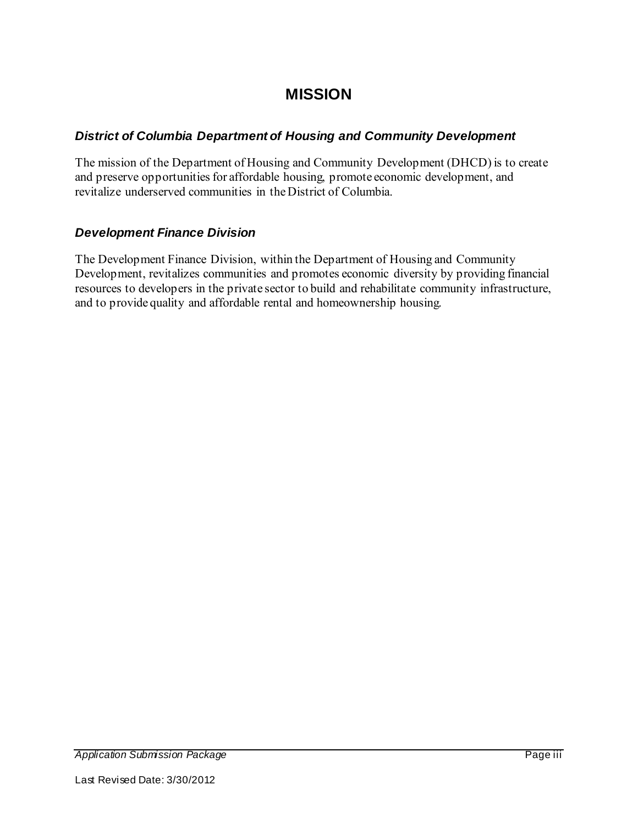## **MISSION**

#### *District of Columbia Department of Housing and Community Development*

The mission of the Department of Housing and Community Development (DHCD) is to create and preserve opportunities for affordable housing, promote economic development, and revitalize underserved communities in the District of Columbia.

#### *Development Finance Division*

The Development Finance Division, within the Department of Housing and Community Development, revitalizes communities and promotes economic diversity by providing financial resources to developers in the private sector to build and rehabilitate community infrastructure, and to provide quality and affordable rental and homeownership housing.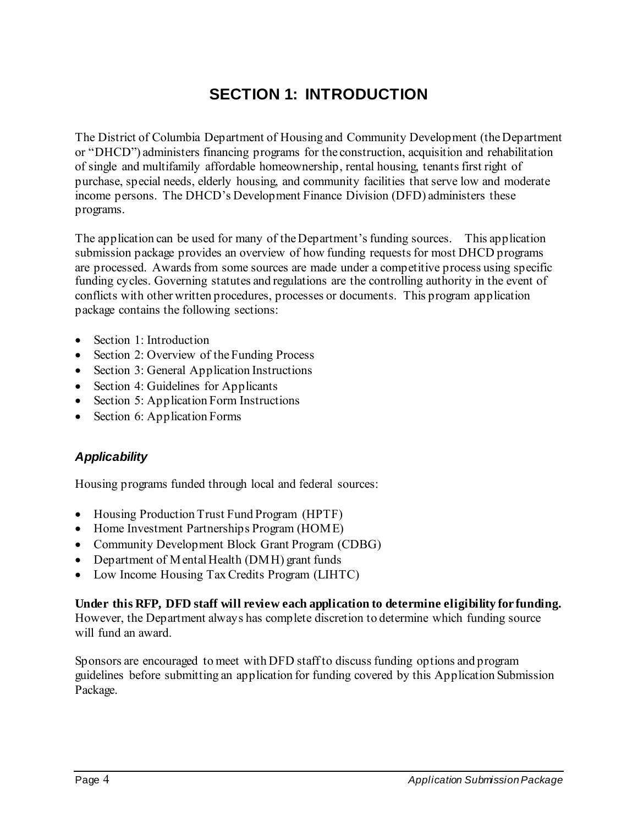## **SECTION 1: INTRODUCTION**

The District of Columbia Department of Housing and Community Development (the Department or "DHCD") administers financing programs for the construction, acquisition and rehabilitation of single and multifamily affordable homeownership, rental housing, tenants first right of purchase, special needs, elderly housing, and community facilities that serve low and moderate income persons. The DHCD's Development Finance Division (DFD) administers these programs.

The application can be used for many of the Department's funding sources. This application submission package provides an overview of how funding requests for most DHCD programs are processed. Awards from some sources are made under a competitive process using specific funding cycles. Governing statutes and regulations are the controlling authority in the event of conflicts with other written procedures, processes or documents. This program application package contains the following sections:

- Section 1: Introduction
- Section 2: Overview of the Funding Process
- Section 3: General Application Instructions
- Section 4: Guidelines for Applicants
- Section 5: Application Form Instructions
- Section 6: Application Forms

#### *Applicability*

Housing programs funded through local and federal sources:

- Housing Production Trust Fund Program (HPTF)
- Home Investment Partnerships Program (HOME)
- Community Development Block Grant Program (CDBG)
- Department of Mental Health (DMH) grant funds
- Low Income Housing Tax Credits Program (LIHTC)

#### **Under this RFP, DFD staff will review each application to determine eligibility for funding.**

However, the Department always has complete discretion to determine which funding source will fund an award.

Sponsors are encouraged to meet with DFD staff to discuss funding options and program guidelines before submitting an application for funding covered by this Application Submission Package.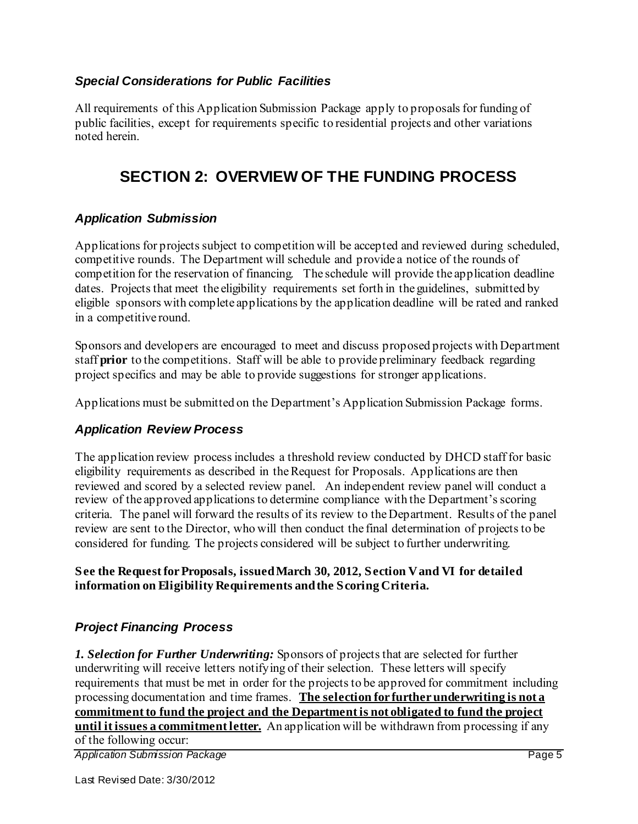#### *Special Considerations for Public Facilities*

All requirements of this Application Submission Package apply to proposals for funding of public facilities, except for requirements specific to residential projects and other variations noted herein.

### **SECTION 2: OVERVIEW OF THE FUNDING PROCESS**

#### *Application Submission*

Applications for projects subject to competition will be accepted and reviewed during scheduled, competitive rounds. The Department will schedule and provide a notice of the rounds of competition for the reservation of financing. The schedule will provide the application deadline dates. Projects that meet the eligibility requirements set forth in the guidelines, submitted by eligible sponsors with complete applications by the application deadline will be rated and ranked in a competitive round.

Sponsors and developers are encouraged to meet and discuss proposed projects with Department staff **prior** to the competitions. Staff will be able to provide preliminary feedback regarding project specifics and may be able to provide suggestions for stronger applications.

Applications must be submitted on the Department's Application Submission Package forms.

#### *Application Review Process*

The application review process includes a threshold review conducted by DHCD staff for basic eligibility requirements as described in the Request for Proposals. Applications are then reviewed and scored by a selected review panel. An independent review panel will conduct a review of the approved applications to determine compliance with the Department's scoring criteria. The panel will forward the results of its review to the Department. Results of the panel review are sent to the Director, who will then conduct the final determination of projects to be considered for funding. The projects considered will be subject to further underwriting.

#### **See the Request for Proposals, issued March 30, 2012, Section V and VI for detailed information on Eligibility Requirements and the Scoring Criteria.**

#### *Project Financing Process*

*1. Selection for Further Underwriting:* Sponsors of projects that are selected for further underwriting will receive letters notifying of their selection. These letters will specify requirements that must be met in order for the projects to be approved for commitment including processing documentation and time frames. **The selection for further underwriting is not a commitment to fund the project and the Department is not obligated to fund the project until it issues a commitment letter.** An application will be withdrawn from processing if any of the following occur:

*Application Submission Package* Page 5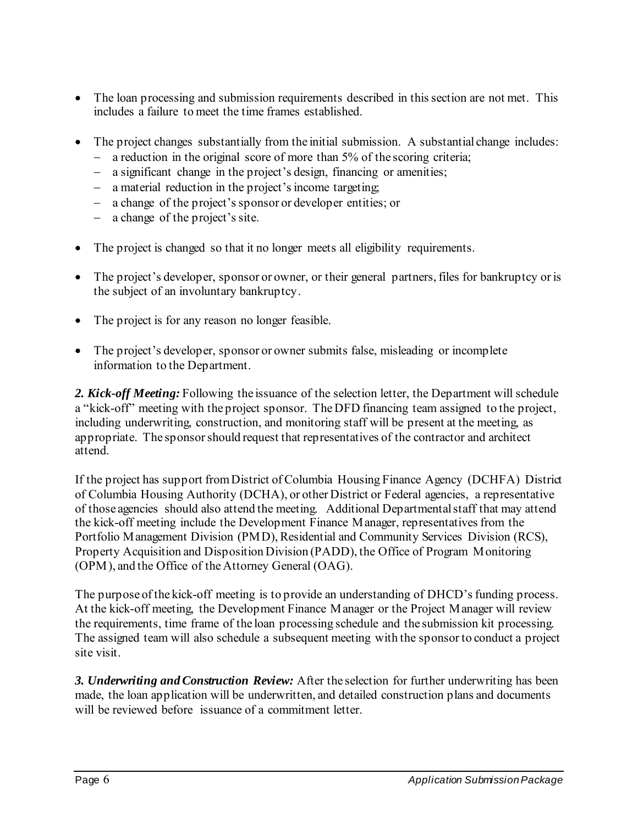- The loan processing and submission requirements described in this section are not met. This includes a failure to meet the time frames established.
- The project changes substantially from the initial submission. A substantial change includes:
	- a reduction in the original score of more than 5% of the scoring criteria;
	- a significant change in the project's design, financing or amenities;
	- a material reduction in the project's income targeting;
	- a change of the project's sponsor or developer entities; or
	- a change of the project's site.
- The project is changed so that it no longer meets all eligibility requirements.
- The project's developer, sponsor or owner, or their general partners, files for bankruptcy or is the subject of an involuntary bankruptcy.
- The project is for any reason no longer feasible.
- The project's developer, sponsor or owner submits false, misleading or incomplete information to the Department.

*2. Kick-off Meeting:* Following the issuance of the selection letter, the Department will schedule a "kick-off" meeting with the project sponsor. The DFD financing team assigned to the project, including underwriting, construction, and monitoring staff will be present at the meeting, as appropriate. The sponsor should request that representatives of the contractor and architect attend.

If the project has support from District of Columbia Housing Finance Agency (DCHFA) District of Columbia Housing Authority (DCHA), or other District or Federal agencies, a representative of those agencies should also attend the meeting. Additional Departmental staff that may attend the kick-off meeting include the Development Finance Manager, representatives from the Portfolio Management Division (PMD), Residential and Community Services Division (RCS), Property Acquisition and Disposition Division (PADD), the Office of Program Monitoring (OPM), and the Office of the Attorney General (OAG).

The purpose of the kick-off meeting is to provide an understanding of DHCD's funding process. At the kick-off meeting, the Development Finance Manager or the Project Manager will review the requirements, time frame of the loan processing schedule and the submission kit processing. The assigned team will also schedule a subsequent meeting with the sponsor to conduct a project site visit.

*3. Underwriting and Construction Review:* After the selection for further underwriting has been made, the loan application will be underwritten, and detailed construction plans and documents will be reviewed before issuance of a commitment letter.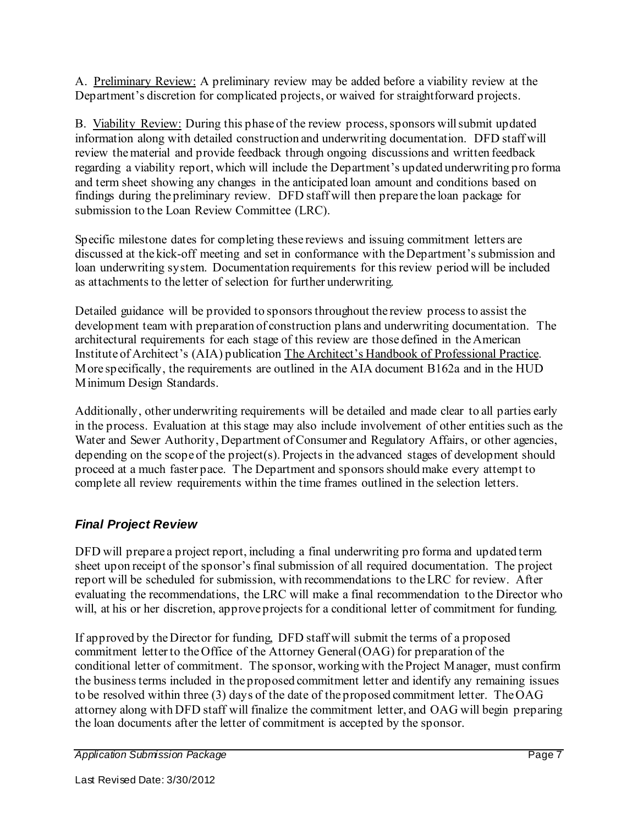A. Preliminary Review: A preliminary review may be added before a viability review at the Department's discretion for complicated projects, or waived for straightforward projects.

B. Viability Review: During this phase of the review process, sponsors will submit updated information along with detailed construction and underwriting documentation. DFD staff will review the material and provide feedback through ongoing discussions and written feedback regarding a viability report, which will include the Department's updated underwriting pro forma and term sheet showing any changes in the anticipated loan amount and conditions based on findings during the preliminary review. DFD staff will then prepare the loan package for submission to the Loan Review Committee (LRC).

Specific milestone dates for completing these reviews and issuing commitment letters are discussed at the kick-off meeting and set in conformance with the Department's submission and loan underwriting system. Documentation requirements for this review period will be included as attachments to the letter of selection for further underwriting.

Detailed guidance will be provided to sponsors throughout the review process to assist the development team with preparation of construction plans and underwriting documentation. The architectural requirements for each stage of this review are those defined in the American Institute of Architect's (AIA) publication The Architect's Handbook of Professional Practice. More specifically, the requirements are outlined in the AIA document B162a and in the HUD Minimum Design Standards.

Additionally, other underwriting requirements will be detailed and made clear to all parties early in the process. Evaluation at this stage may also include involvement of other entities such as the Water and Sewer Authority, Department of Consumer and Regulatory Affairs, or other agencies, depending on the scope of the project(s). Projects in the advanced stages of development should proceed at a much faster pace. The Department and sponsors should make every attempt to complete all review requirements within the time frames outlined in the selection letters.

#### *Final Project Review*

DFD will prepare a project report, including a final underwriting pro forma and updated term sheet upon receipt of the sponsor's final submission of all required documentation. The project report will be scheduled for submission, with recommendations to the LRC for review. After evaluating the recommendations, the LRC will make a final recommendation to the Director who will, at his or her discretion, approve projects for a conditional letter of commitment for funding.

If approved by the Director for funding, DFD staff will submit the terms of a proposed commitment letter to the Office of the Attorney General (OAG) for preparation of the conditional letter of commitment. The sponsor, working with the Project Manager, must confirm the business terms included in the proposed commitment letter and identify any remaining issues to be resolved within three (3) days of the date of the proposed commitment letter. The OAG attorney along with DFD staff will finalize the commitment letter, and OAG will begin preparing the loan documents after the letter of commitment is accepted by the sponsor.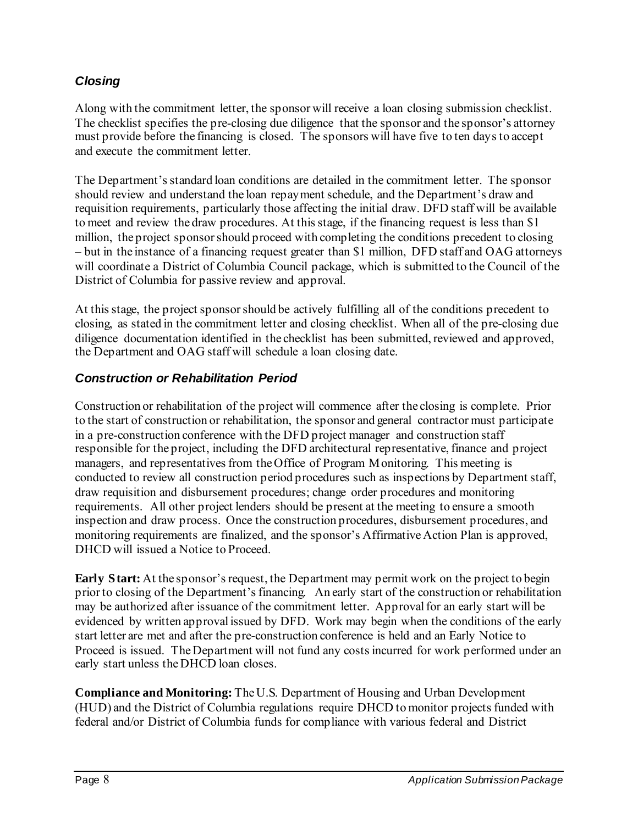#### *Closing*

Along with the commitment letter, the sponsor will receive a loan closing submission checklist. The checklist specifies the pre-closing due diligence that the sponsor and the sponsor's attorney must provide before the financing is closed. The sponsors will have five to ten days to accept and execute the commitment letter.

The Department's standard loan conditions are detailed in the commitment letter. The sponsor should review and understand the loan repayment schedule, and the Department's draw and requisition requirements, particularly those affecting the initial draw. DFD staff will be available to meet and review the draw procedures. At this stage, if the financing request is less than \$1 million, the project sponsor should proceed with completing the conditions precedent to closing – but in the instance of a financing request greater than \$1 million, DFD staff and OAG attorneys will coordinate a District of Columbia Council package, which is submitted to the Council of the District of Columbia for passive review and approval.

At this stage, the project sponsor should be actively fulfilling all of the conditions precedent to closing, as stated in the commitment letter and closing checklist. When all of the pre-closing due diligence documentation identified in the checklist has been submitted, reviewed and approved, the Department and OAG staff will schedule a loan closing date.

#### *Construction or Rehabilitation Period*

Construction or rehabilitation of the project will commence after the closing is complete. Prior to the start of construction or rehabilitation, the sponsor and general contractor must participate in a pre-construction conference with the DFD project manager and construction staff responsible for the project, including the DFD architectural representative, finance and project managers, and representatives from the Office of Program Monitoring. This meeting is conducted to review all construction period procedures such as inspections by Department staff, draw requisition and disbursement procedures; change order procedures and monitoring requirements. All other project lenders should be present at the meeting to ensure a smooth inspection and draw process. Once the construction procedures, disbursement procedures, and monitoring requirements are finalized, and the sponsor's Affirmative Action Plan is approved, DHCD will issued a Notice to Proceed.

**Early Start:** At the sponsor's request, the Department may permit work on the project to begin prior to closing of the Department's financing. An early start of the construction or rehabilitation may be authorized after issuance of the commitment letter. Approval for an early start will be evidenced by written approval issued by DFD. Work may begin when the conditions of the early start letter are met and after the pre-construction conference is held and an Early Notice to Proceed is issued. The Department will not fund any costs incurred for work performed under an early start unless the DHCD loan closes.

**Compliance and Monitoring:** The U.S. Department of Housing and Urban Development (HUD) and the District of Columbia regulations require DHCD to monitor projects funded with federal and/or District of Columbia funds for compliance with various federal and District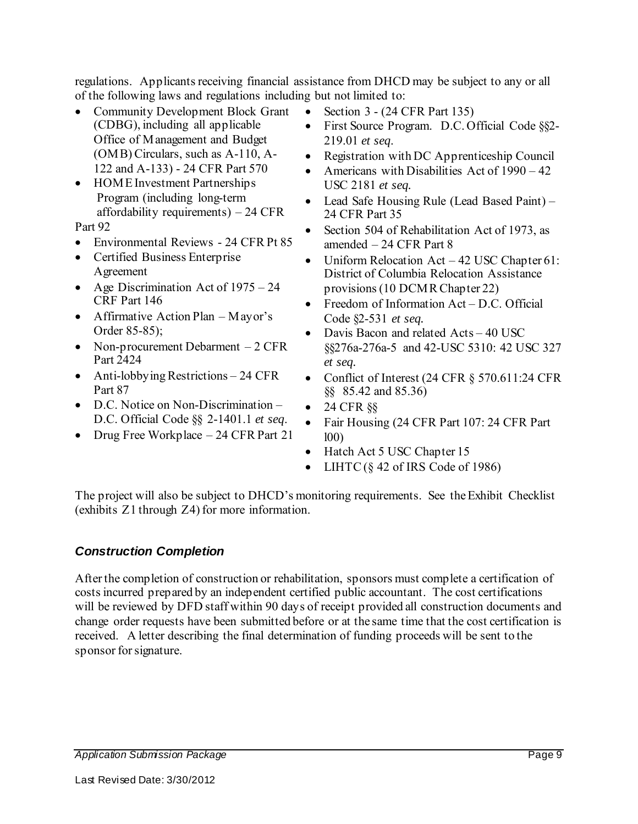regulations. Applicants receiving financial assistance from DHCD may be subject to any or all of the following laws and regulations including but not limited to:

- Community Development Block Grant (CDBG), including all applicable Office of Management and Budget (OMB) Circulars, such as A-110, A-122 and A-133) - 24 CFR Part 570
- HOME Investment Partnerships Program (including long-term affordability requirements) – 24 CFR

Part 92

- Environmental Reviews 24 CFR Pt 85
- Certified Business Enterprise Agreement
- Age Discrimination Act of  $1975 24$ CRF Part 146
- Affirmative Action Plan Mayor's Order 85-85);
- Non-procurement Debarment 2 CFR Part 2424
- Anti-lobbying Restrictions 24 CFR Part 87
- D.C. Notice on Non-Discrimination D.C. Official Code §§ 2-1401.1 *et seq*.
- Drug Free Workplace 24 CFR Part 21
- Section  $3 (24 \text{ CFR Part } 135)$
- First Source Program. D.C. Official Code §§2-219.01 *et seq*.
- Registration with DC Apprenticeship Council
- Americans with Disabilities Act of  $1990 42$ USC 2181 *et seq.*
- Lead Safe Housing Rule (Lead Based Paint) 24 CFR Part 35
- Section 504 of Rehabilitation Act of 1973, as amended – 24 CFR Part 8
- Uniform Relocation Act 42 USC Chapter 61: District of Columbia Relocation Assistance provisions (10 DCMR Chapter 22)
- Freedom of Information Act D.C. Official Code §2-531 *et seq.*
- Davis Bacon and related Acts 40 USC §§276a-276a-5 and 42-USC 5310: 42 USC 327 *et seq.*
- Conflict of Interest (24 CFR § 570.611:24 CFR §§ 85.42 and 85.36)
- $\bullet$  24 CFR  $\S$ §
- Fair Housing (24 CFR Part 107: 24 CFR Part l00)
- Hatch Act 5 USC Chapter 15
- LIHTC  $(\S 42 \text{ of IRS Code of } 1986)$

The project will also be subject to DHCD's monitoring requirements. See the Exhibit Checklist (exhibits Z1 through Z4) for more information.

#### *Construction Completion*

After the completion of construction or rehabilitation, sponsors must complete a certification of costs incurred prepared by an independent certified public accountant. The cost certifications will be reviewed by DFD staff within 90 days of receipt provided all construction documents and change order requests have been submitted before or at the same time that the cost certification is received. A letter describing the final determination of funding proceeds will be sent to the sponsor for signature.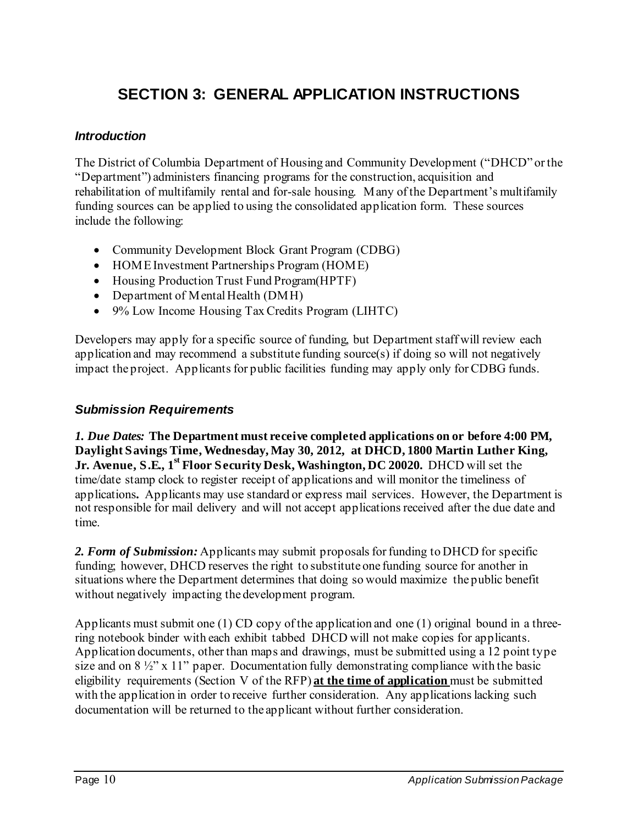## **SECTION 3: GENERAL APPLICATION INSTRUCTIONS**

#### *Introduction*

The District of Columbia Department of Housing and Community Development ("DHCD" or the "Department") administers financing programs for the construction, acquisition and rehabilitation of multifamily rental and for-sale housing. Many of the Department's multifamily funding sources can be applied to using the consolidated application form. These sources include the following:

- Community Development Block Grant Program (CDBG)
- HOME Investment Partnerships Program (HOME)
- Housing Production Trust Fund Program(HPTF)
- Department of Mental Health (DMH)
- 9% Low Income Housing Tax Credits Program (LIHTC)

Developers may apply for a specific source of funding, but Department staff will review each application and may recommend a substitute funding source(s) if doing so will not negatively impact the project. Applicants for public facilities funding may apply only for CDBG funds.

#### *Submission Requirements*

*1. Due Dates:* **The Department must receive completed applications on or before 4:00 PM, Daylight Savings Time, Wednesday, May 30, 2012, at DHCD, 1800 Martin Luther King, Jr. Avenue, S.E., 1st Floor Security Desk, Washington, DC 20020.** DHCD will set the time/date stamp clock to register receipt of applications and will monitor the timeliness of applications*.* Applicants may use standard or express mail services. However, the Department is not responsible for mail delivery and will not accept applications received after the due date and time.

*2. Form of Submission:* Applicants may submit proposals for funding to DHCD for specific funding; however, DHCD reserves the right to substitute one funding source for another in situations where the Department determines that doing so would maximize the public benefit without negatively impacting the development program.

Applicants must submit one (1) CD copy of the application and one (1) original bound in a threering notebook binder with each exhibit tabbed DHCD will not make copies for applicants. Application documents, other than maps and drawings, must be submitted using a 12 point type size and on  $8\frac{1}{2}$ " x 11" paper. Documentation fully demonstrating compliance with the basic eligibility requirements (Section V of the RFP) **at the time of application** must be submitted with the application in order to receive further consideration. Any applications lacking such documentation will be returned to the applicant without further consideration.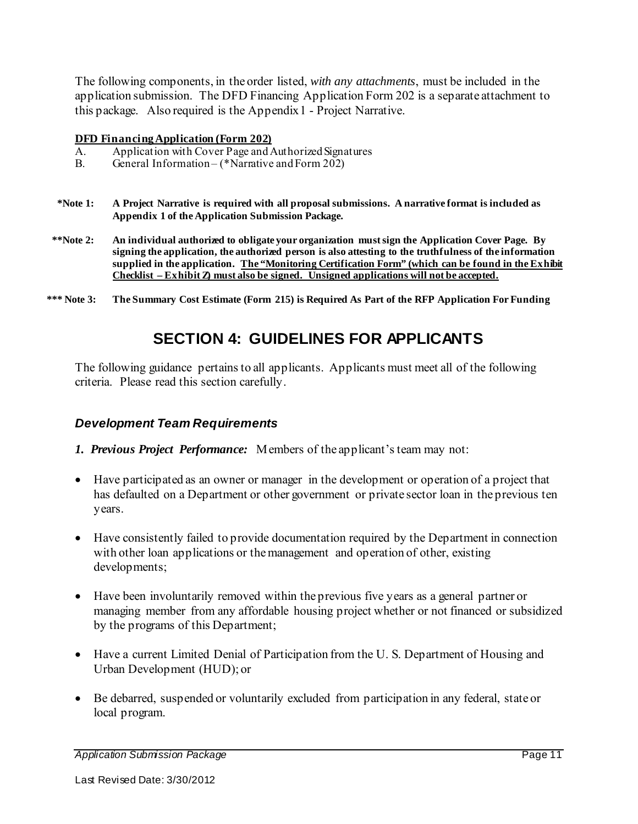The following components, in the order listed, *with any attachments*, must be included in the application submission. The DFD Financing Application Form 202 is a separate attachment to this package. Also required is the Appendix 1 - Project Narrative.

#### **DFD Financing Application (Form 202)**

- A. Application with Cover Page and Authorized Signatures
- B. General Information (\*Narrative and Form 202)
- **\*Note 1: A Project Narrative is required with all proposal submissions. A narrative format is included as Appendix 1 of the Application Submission Package.**
- **\*\*Note 2: An individual authorized to obligate your organization must sign the Application Cover Page. By signing the application, the authorized person is also attesting to the truthfulness of the information supplied in the application. The "Monitoring Certification Form" (which can be found in the Exhibit Checklist – Exhibit Z) must also be signed. Unsigned applications will not be accepted.**
- **\*\*\* Note 3: The Summary Cost Estimate (Form 215) is Required As Part of the RFP Application For Funding**

## **SECTION 4: GUIDELINES FOR APPLICANTS**

The following guidance pertains to all applicants. Applicants must meet all of the following criteria. Please read this section carefully.

#### *Development Team Requirements*

- *1. Previous Project Performance:* Members of the applicant's team may not:
- Have participated as an owner or manager in the development or operation of a project that has defaulted on a Department or other government or private sector loan in the previous ten years.
- Have consistently failed to provide documentation required by the Department in connection with other loan applications or the management and operation of other, existing developments;
- Have been involuntarily removed within the previous five years as a general partner or managing member from any affordable housing project whether or not financed or subsidized by the programs of this Department;
- Have a current Limited Denial of Participation from the U. S. Department of Housing and Urban Development (HUD); or
- Be debarred, suspended or voluntarily excluded from participation in any federal, state or local program.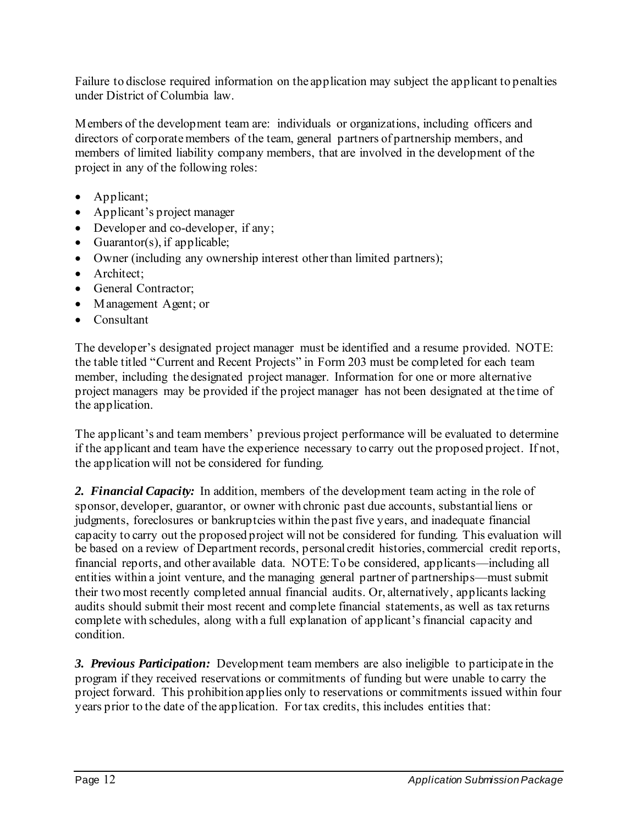Failure to disclose required information on the application may subject the applicant to penalties under District of Columbia law.

Members of the development team are: individuals or organizations, including officers and directors of corporate members of the team, general partners of partnership members, and members of limited liability company members, that are involved in the development of the project in any of the following roles:

- Applicant;
- Applicant's project manager
- Developer and co-developer, if any;
- Guarantor(s), if applicable;
- Owner (including any ownership interest other than limited partners);
- Architect:
- General Contractor;
- Management Agent; or
- Consultant

The developer's designated project manager must be identified and a resume provided. NOTE: the table titled "Current and Recent Projects" in Form 203 must be completed for each team member, including the designated project manager. Information for one or more alternative project managers may be provided if the project manager has not been designated at the time of the application.

The applicant's and team members' previous project performance will be evaluated to determine if the applicant and team have the experience necessary to carry out the proposed project. If not, the application will not be considered for funding.

*2. Financial Capacity:* In addition, members of the development team acting in the role of sponsor, developer, guarantor, or owner with chronic past due accounts, substantial liens or judgments, foreclosures or bankruptcies within the past five years, and inadequate financial capacity to carry out the proposed project will not be considered for funding. This evaluation will be based on a review of Department records, personal credit histories, commercial credit reports, financial reports, and other available data. NOTE: To be considered, applicants—including all entities within a joint venture, and the managing general partner of partnerships—must submit their two most recently completed annual financial audits. Or, alternatively, applicants lacking audits should submit their most recent and complete financial statements, as well as tax returns complete with schedules, along with a full explanation of applicant's financial capacity and condition.

*3. Previous Participation:* Development team members are also ineligible to participate in the program if they received reservations or commitments of funding but were unable to carry the project forward. This prohibition applies only to reservations or commitments issued within four years prior to the date of the application. For tax credits, this includes entities that: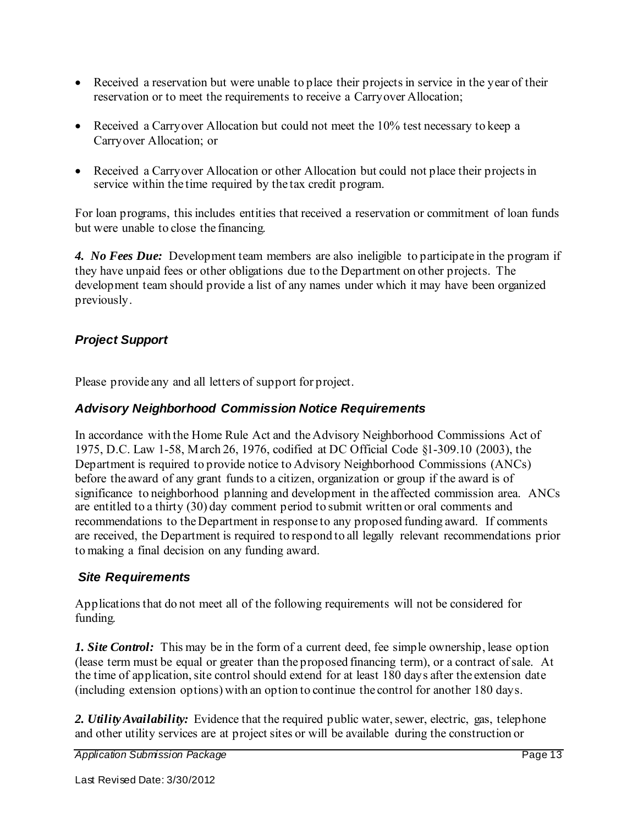- Received a reservation but were unable to place their projects in service in the year of their reservation or to meet the requirements to receive a Carryover Allocation;
- Received a Carryover Allocation but could not meet the 10% test necessary to keep a Carryover Allocation; or
- Received a Carryover Allocation or other Allocation but could not place their projects in service within the time required by the tax credit program.

For loan programs, this includes entities that received a reservation or commitment of loan funds but were unable to close the financing.

*4. No Fees Due:* Development team members are also ineligible to participate in the program if they have unpaid fees or other obligations due to the Department on other projects. The development team should provide a list of any names under which it may have been organized previously.

#### *Project Support*

Please provide any and all letters of support for project.

#### *Advisory Neighborhood Commission Notice Requirements*

In accordance with the Home Rule Act and the Advisory Neighborhood Commissions Act of 1975, D.C. Law 1-58, March 26, 1976, codified at DC Official Code §1-309.10 (2003), the Department is required to provide notice to Advisory Neighborhood Commissions (ANCs) before the award of any grant funds to a citizen, organization or group if the award is of significance to neighborhood planning and development in the affected commission area. ANCs are entitled to a thirty (30) day comment period to submit written or oral comments and recommendations to the Department in response to any proposed funding award. If comments are received, the Department is required to respond to all legally relevant recommendations prior to making a final decision on any funding award.

#### *Site Requirements*

Applications that do not meet all of the following requirements will not be considered for funding.

*1. Site Control:* This may be in the form of a current deed, fee simple ownership, lease option (lease term must be equal or greater than the proposed financing term), or a contract of sale. At the time of application, site control should extend for at least 180 days after the extension date (including extension options) with an option to continue the control for another 180 days.

2. *Utility Availability:* Evidence that the required public water, sewer, electric, gas, telephone and other utility services are at project sites or will be available during the construction or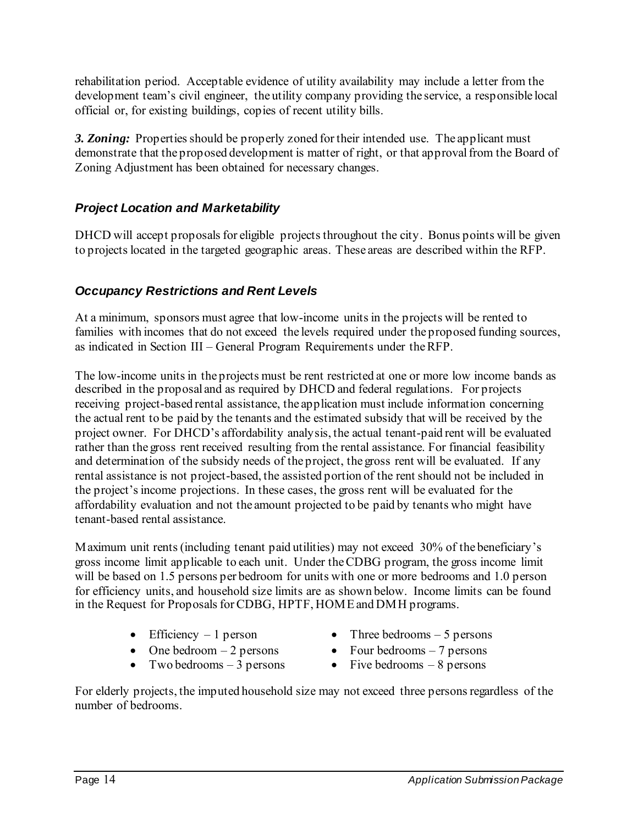rehabilitation period. Acceptable evidence of utility availability may include a letter from the development team's civil engineer, the utility company providing the service, a responsible local official or, for existing buildings, copies of recent utility bills.

*3. Zoning:* Properties should be properly zoned for their intended use. The applicant must demonstrate that the proposed development is matter of right, or that approval from the Board of Zoning Adjustment has been obtained for necessary changes.

#### *Project Location and Marketability*

DHCD will accept proposals for eligible projects throughout the city. Bonus points will be given to projects located in the targeted geographic areas. These areas are described within the RFP.

#### *Occupancy Restrictions and Rent Levels*

At a minimum, sponsors must agree that low-income units in the projects will be rented to families with incomes that do not exceed the levels required under the proposed funding sources, as indicated in Section III – General Program Requirements under the RFP.

The low-income units in the projects must be rent restricted at one or more low income bands as described in the proposal and as required by DHCD and federal regulations. For projects receiving project-based rental assistance, the application must include information concerning the actual rent to be paid by the tenants and the estimated subsidy that will be received by the project owner. For DHCD's affordability analysis, the actual tenant-paid rent will be evaluated rather than the gross rent received resulting from the rental assistance. For financial feasibility and determination of the subsidy needs of the project, the gross rent will be evaluated. If any rental assistance is not project-based, the assisted portion of the rent should not be included in the project's income projections. In these cases, the gross rent will be evaluated for the affordability evaluation and not the amount projected to be paid by tenants who might have tenant-based rental assistance.

Maximum unit rents (including tenant paid utilities) may not exceed 30% of the beneficiary's gross income limit applicable to each unit. Under the CDBG program, the gross income limit will be based on 1.5 persons per bedroom for units with one or more bedrooms and 1.0 person for efficiency units, and household size limits are as shown below. Income limits can be found in the Request for Proposals for CDBG, HPTF, HOME and DMH programs.

- 
- One bedroom  $-2$  persons Four bedrooms  $-7$  persons
- Two bedrooms 3 persons Five bedrooms 8 persons
- Efficiency  $-1$  person Three bedrooms  $-5$  persons
	-
	-

For elderly projects, the imputed household size may not exceed three persons regardless of the number of bedrooms.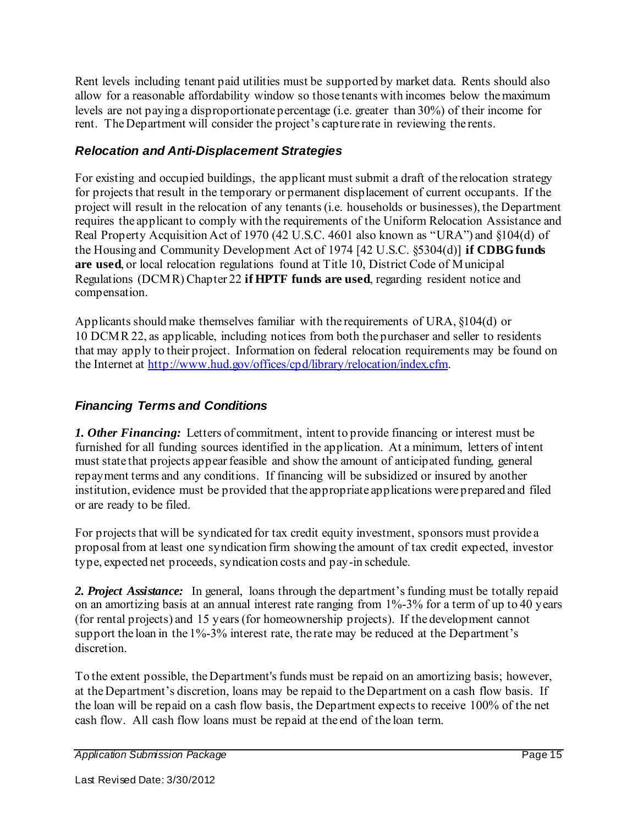Rent levels including tenant paid utilities must be supported by market data. Rents should also allow for a reasonable affordability window so those tenants with incomes below the maximum levels are not paying a disproportionate percentage (i.e. greater than 30%) of their income for rent. The Department will consider the project's capture rate in reviewing the rents.

#### *Relocation and Anti-Displacement Strategies*

For existing and occupied buildings, the applicant must submit a draft of the relocation strategy for projects that result in the temporary or permanent displacement of current occupants. If the project will result in the relocation of any tenants (i.e. households or businesses), the Department requires the applicant to comply with the requirements of the Uniform Relocation Assistance and Real Property Acquisition Act of 1970 (42 U.S.C. 4601 also known as "URA") and §104(d) of the Housing and Community Development Act of 1974 [42 U.S.C. §5304(d)] **if CDBG funds are used**, or local relocation regulations found at Title 10, District Code of Municipal Regulations (DCMR) Chapter 22 **if HPTF funds are used**, regarding resident notice and compensation.

Applicants should make themselves familiar with the requirements of URA, §104(d) or 10 DCMR 22, as applicable, including notices from both the purchaser and seller to residents that may apply to their project. Information on federal relocation requirements may be found on the Internet at http://www.hud.gov/offices/cpd/library/relocation/index.cfm.

#### *Financing Terms and Conditions*

*1. Other Financing:* Letters of commitment, intent to provide financing or interest must be furnished for all funding sources identified in the application. At a minimum, letters of intent must state that projects appear feasible and show the amount of anticipated funding, general repayment terms and any conditions. If financing will be subsidized or insured by another institution, evidence must be provided that the appropriate applications were prepared and filed or are ready to be filed.

For projects that will be syndicated for tax credit equity investment, sponsors must provide a proposal from at least one syndication firm showing the amount of tax credit expected, investor type, expected net proceeds, syndication costs and pay-in schedule.

2. Project Assistance: In general, loans through the department's funding must be totally repaid on an amortizing basis at an annual interest rate ranging from 1%-3% for a term of up to 40 years (for rental projects) and 15 years (for homeownership projects). If the development cannot support the loan in the 1%-3% interest rate, the rate may be reduced at the Department's discretion.

To the extent possible, the Department's funds must be repaid on an amortizing basis; however, at the Department's discretion, loans may be repaid to the Department on a cash flow basis. If the loan will be repaid on a cash flow basis, the Department expects to receive 100% of the net cash flow. All cash flow loans must be repaid at the end of the loan term.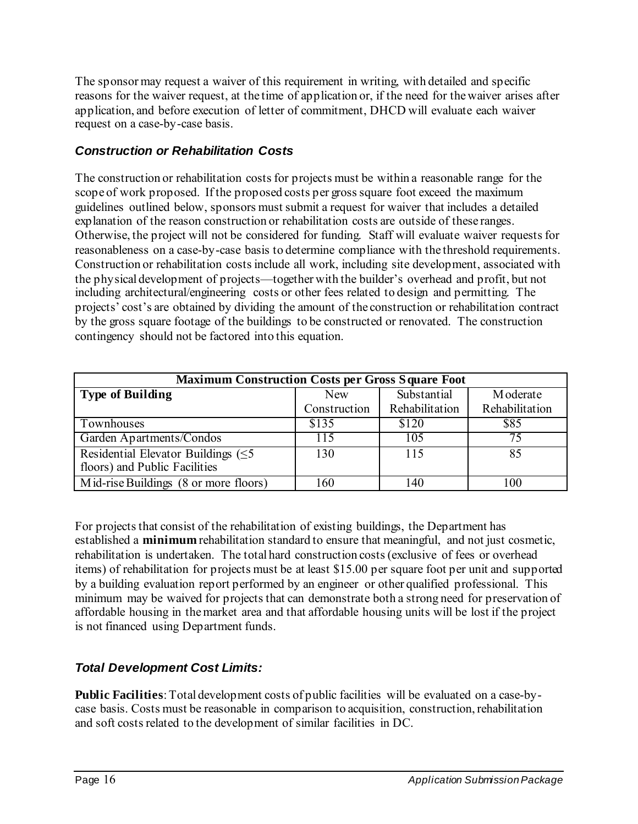The sponsor may request a waiver of this requirement in writing, with detailed and specific reasons for the waiver request, at the time of application or, if the need for the waiver arises after application, and before execution of letter of commitment, DHCD will evaluate each waiver request on a case-by-case basis.

#### *Construction or Rehabilitation Costs*

The construction or rehabilitation costs for projects must be within a reasonable range for the scope of work proposed. If the proposed costs per gross square foot exceed the maximum guidelines outlined below, sponsors must submit a request for waiver that includes a detailed explanation of the reason construction or rehabilitation costs are outside of these ranges. Otherwise, the project will not be considered for funding. Staff will evaluate waiver requests for reasonableness on a case-by-case basis to determine compliance with the threshold requirements. Construction or rehabilitation costs include all work, including site development, associated with the physical development of projects—together with the builder's overhead and profit, but not including architectural/engineering costs or other fees related to design and permitting. The projects' cost's are obtained by dividing the amount of the construction or rehabilitation contract by the gross square footage of the buildings to be constructed or renovated. The construction contingency should not be factored into this equation.

| <b>Maximum Construction Costs per Gross Square Foot</b>                    |              |                |                |
|----------------------------------------------------------------------------|--------------|----------------|----------------|
| <b>Type of Building</b>                                                    | <b>New</b>   | Substantial    | Moderate       |
|                                                                            | Construction | Rehabilitation | Rehabilitation |
| Townhouses                                                                 | \$135        | \$120          | \$85           |
| Garden Apartments/Condos                                                   | 115          | 105            | 75             |
| Residential Elevator Buildings $(\leq 5)$<br>floors) and Public Facilities | 130          | 115            | 85             |
| Mid-rise Buildings (8 or more floors)                                      | 160          | 140            | 100            |

For projects that consist of the rehabilitation of existing buildings, the Department has established a **minimum** rehabilitation standard to ensure that meaningful, and not just cosmetic, rehabilitation is undertaken. The total hard construction costs (exclusive of fees or overhead items) of rehabilitation for projects must be at least \$15.00 per square foot per unit and supported by a building evaluation report performed by an engineer or other qualified professional. This minimum may be waived for projects that can demonstrate both a strong need for preservation of affordable housing in the market area and that affordable housing units will be lost if the project is not financed using Department funds.

#### *Total Development Cost Limits:*

**Public Facilities**: Total development costs of public facilities will be evaluated on a case-bycase basis. Costs must be reasonable in comparison to acquisition, construction, rehabilitation and soft costs related to the development of similar facilities in DC.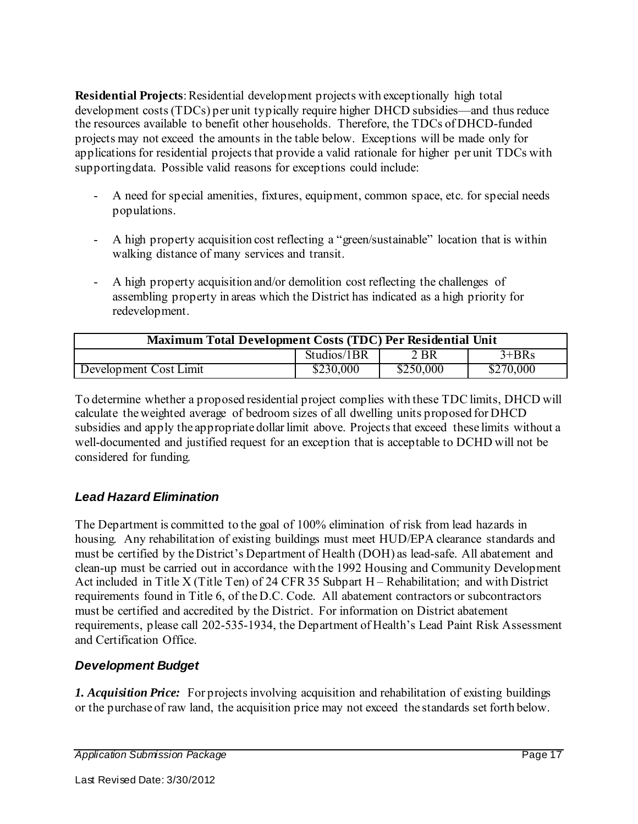**Residential Projects**: Residential development projects with exceptionally high total development costs (TDCs) per unit typically require higher DHCD subsidies—and thus reduce the resources available to benefit other households. Therefore, the TDCs of DHCD-funded projects may not exceed the amounts in the table below. Exceptions will be made only for applications for residential projects that provide a valid rationale for higher per unit TDCs with supporting data. Possible valid reasons for exceptions could include:

- A need for special amenities, fixtures, equipment, common space, etc. for special needs populations.
- A high property acquisition cost reflecting a "green/sustainable" location that is within walking distance of many services and transit.
- A high property acquisition and/or demolition cost reflecting the challenges of assembling property in areas which the District has indicated as a high priority for redevelopment.

| Maximum Total Development Costs (TDC) Per Residential Unit |             |           |           |
|------------------------------------------------------------|-------------|-----------|-----------|
|                                                            | Studios/1BR | 2 BR      | $3+BRs$   |
| Development Cost Limit                                     | \$230,000   | \$250,000 | \$270,000 |

To determine whether a proposed residential project complies with these TDC limits, DHCD will calculate the weighted average of bedroom sizes of all dwelling units proposed for DHCD subsidies and apply the appropriate dollar limit above. Projects that exceed these limits without a well-documented and justified request for an exception that is acceptable to DCHD will not be considered for funding.

#### *Lead Hazard Elimination*

The Department is committed to the goal of 100% elimination of risk from lead hazards in housing. Any rehabilitation of existing buildings must meet HUD/EPA clearance standards and must be certified by the District's Department of Health (DOH) as lead-safe. All abatement and clean-up must be carried out in accordance with the 1992 Housing and Community Development Act included in Title X (Title Ten) of 24 CFR 35 Subpart H – Rehabilitation; and with District requirements found in Title 6, of the D.C. Code. All abatement contractors or subcontractors must be certified and accredited by the District. For information on District abatement requirements, please call 202-535-1934, the Department of Health's Lead Paint Risk Assessment and Certification Office.

#### *Development Budget*

*1. Acquisition Price:* For projects involving acquisition and rehabilitation of existing buildings or the purchase of raw land, the acquisition price may not exceed the standards set forth below.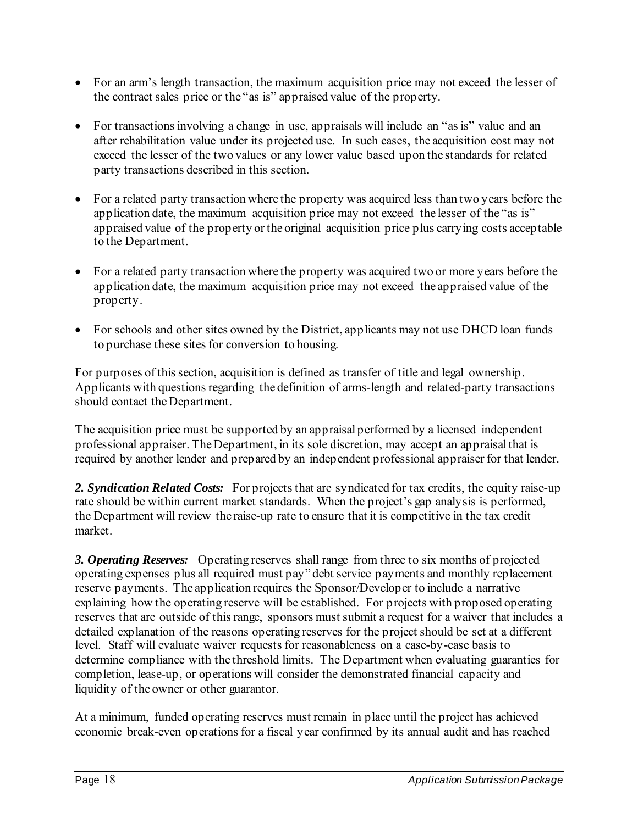- For an arm's length transaction, the maximum acquisition price may not exceed the lesser of the contract sales price or the "as is" appraised value of the property.
- For transactions involving a change in use, appraisals will include an "as is" value and an after rehabilitation value under its projected use. In such cases, the acquisition cost may not exceed the lesser of the two values or any lower value based upon the standards for related party transactions described in this section.
- For a related party transaction where the property was acquired less than two years before the application date, the maximum acquisition price may not exceed the lesser of the "as is" appraised value of the property or the original acquisition price plus carrying costs acceptable to the Department.
- For a related party transaction where the property was acquired two or more years before the application date, the maximum acquisition price may not exceed the appraised value of the property.
- For schools and other sites owned by the District, applicants may not use DHCD loan funds to purchase these sites for conversion to housing.

For purposes of this section, acquisition is defined as transfer of title and legal ownership. Applicants with questions regarding the definition of arms-length and related-party transactions should contact the Department.

The acquisition price must be supported by an appraisal performed by a licensed independent professional appraiser. The Department, in its sole discretion, may accept an appraisal that is required by another lender and prepared by an independent professional appraiser for that lender.

2. Syndication Related Costs: For projects that are syndicated for tax credits, the equity raise-up rate should be within current market standards. When the project's gap analysis is performed, the Department will review the raise-up rate to ensure that it is competitive in the tax credit market.

*3. Operating Reserves:* Operating reserves shall range from three to six months of projected operating expenses plus all required must pay" debt service payments and monthly replacement reserve payments. The application requires the Sponsor/Developer to include a narrative explaining how the operating reserve will be established. For projects with proposed operating reserves that are outside of this range, sponsors must submit a request for a waiver that includes a detailed explanation of the reasons operating reserves for the project should be set at a different level. Staff will evaluate waiver requests for reasonableness on a case-by-case basis to determine compliance with the threshold limits. The Department when evaluating guaranties for completion, lease-up, or operations will consider the demonstrated financial capacity and liquidity of the owner or other guarantor.

At a minimum, funded operating reserves must remain in place until the project has achieved economic break-even operations for a fiscal year confirmed by its annual audit and has reached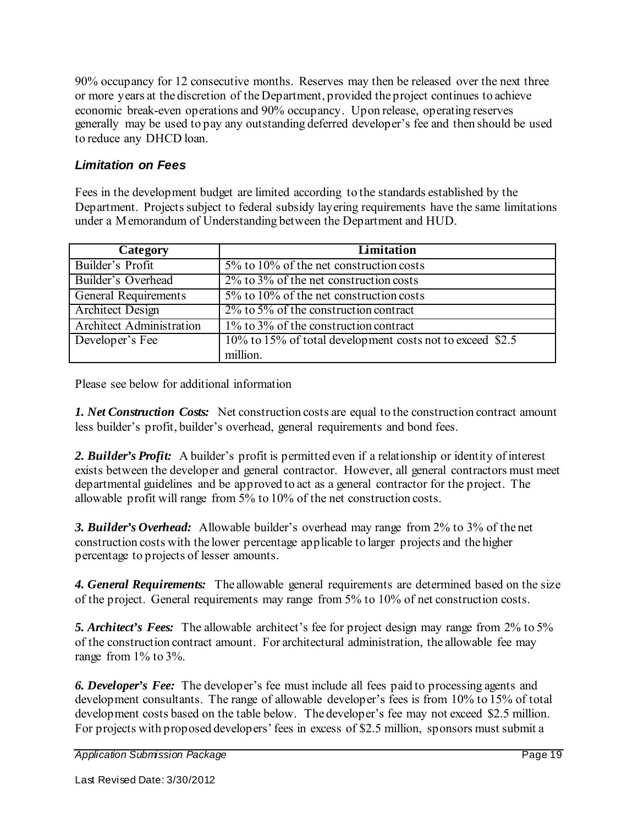90% occupancy for 12 consecutive months. Reserves may then be released over the next three or more years at the discretion of the Department, provided the project continues to achieve economic break-even operations and 90% occupancy. Upon release, operating reserves generally may be used to pay any outstanding deferred developer's fee and then should be used to reduce any DHCD loan.

#### *Limitation on Fees*

Fees in the development budget are limited according to the standards established by the Department. Projects subject to federal subsidy layering requirements have the same limitations under a Memorandum of Understanding between the Department and HUD.

| Category                        | Limitation                                                |
|---------------------------------|-----------------------------------------------------------|
| Builder's Profit                | 5% to 10% of the net construction costs                   |
| Builder's Overhead              | $2\%$ to $3\%$ of the net construction costs              |
| General Requirements            | $5\%$ to $10\%$ of the net construction costs             |
| <b>Architect Design</b>         | $2\%$ to 5% of the construction contract                  |
| <b>Architect Administration</b> | 1% to 3% of the construction contract                     |
| Developer's Fee                 | 10% to 15% of total development costs not to exceed \$2.5 |
|                                 | million.                                                  |

Please see below for additional information

*1. Net Construction Costs:* Net construction costs are equal to the construction contract amount less builder's profit, builder's overhead, general requirements and bond fees.

*2. Builder's Profit:* A builder's profit is permitted even if a relationship or identity of interest exists between the developer and general contractor. However, all general contractors must meet departmental guidelines and be approved to act as a general contractor for the project. The allowable profit will range from 5% to 10% of the net construction costs.

*3. Builder's Overhead:* Allowable builder's overhead may range from 2% to 3% of the net construction costs with the lower percentage applicable to larger projects and the higher percentage to projects of lesser amounts.

*4. General Requirements:* The allowable general requirements are determined based on the size of the project. General requirements may range from 5% to 10% of net construction costs.

*5. Architect's Fees:* The allowable architect's fee for project design may range from 2% to 5% of the construction contract amount. For architectural administration, the allowable fee may range from 1% to 3%.

*6. Developer's Fee:* The developer's fee must include all fees paid to processing agents and development consultants. The range of allowable developer's fees is from 10% to 15% of total development costs based on the table below. The developer's fee may not exceed \$2.5 million. For projects with proposed developers' fees in excess of \$2.5 million, sponsors must submit a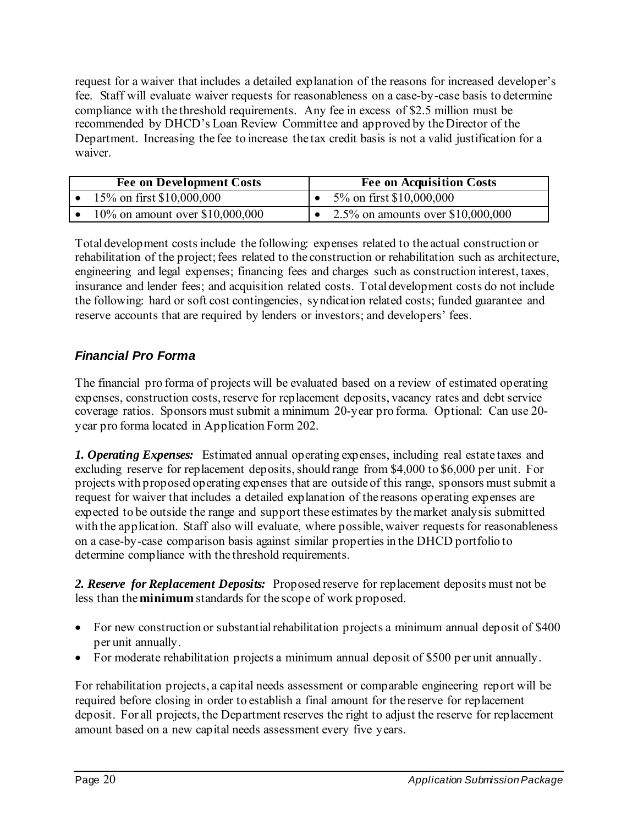request for a waiver that includes a detailed explanation of the reasons for increased developer's fee. Staff will evaluate waiver requests for reasonableness on a case-by-case basis to determine compliance with the threshold requirements. Any fee in excess of \$2.5 million must be recommended by DHCD's Loan Review Committee and approved by the Director of the Department. Increasing the fee to increase the tax credit basis is not a valid justification for a waiver.

| <b>Fee on Development Costs</b>  | <b>Fee on Acquisition Costs</b>   |
|----------------------------------|-----------------------------------|
| 15\% on first \$10,000,000       | 5\% on first \$10,000,000         |
| 10\% on amount over \$10,000,000 | 2.5% on amounts over \$10,000,000 |

Total development costs include the following: expenses related to the actual construction or rehabilitation of the project; fees related to the construction or rehabilitation such as architecture, engineering and legal expenses; financing fees and charges such as construction interest, taxes, insurance and lender fees; and acquisition related costs. Total development costs do not include the following: hard or soft cost contingencies, syndication related costs; funded guarantee and reserve accounts that are required by lenders or investors; and developers' fees.

#### *Financial Pro Forma*

The financial pro forma of projects will be evaluated based on a review of estimated operating expenses, construction costs, reserve for replacement deposits, vacancy rates and debt service coverage ratios. Sponsors must submit a minimum 20-year pro forma. Optional: Can use 20 year pro forma located in Application Form 202.

*1. Operating Expenses:* Estimated annual operating expenses, including real estate taxes and excluding reserve for replacement deposits, should range from \$4,000 to \$6,000 per unit. For projects with proposed operating expenses that are outside of this range, sponsors must submit a request for waiver that includes a detailed explanation of the reasons operating expenses are expected to be outside the range and support these estimates by the market analysis submitted with the application. Staff also will evaluate, where possible, waiver requests for reasonableness on a case-by-case comparison basis against similar properties in the DHCD portfolio to determine compliance with the threshold requirements.

*2. Reserve for Replacement Deposits:* Proposed reserve for replacement deposits must not be less than the **minimum** standards for the scope of work proposed.

- For new construction or substantial rehabilitation projects a minimum annual deposit of \$400 per unit annually.
- For moderate rehabilitation projects a minimum annual deposit of \$500 per unit annually.

For rehabilitation projects, a capital needs assessment or comparable engineering report will be required before closing in order to establish a final amount for the reserve for replacement deposit. For all projects, the Department reserves the right to adjust the reserve for replacement amount based on a new capital needs assessment every five years.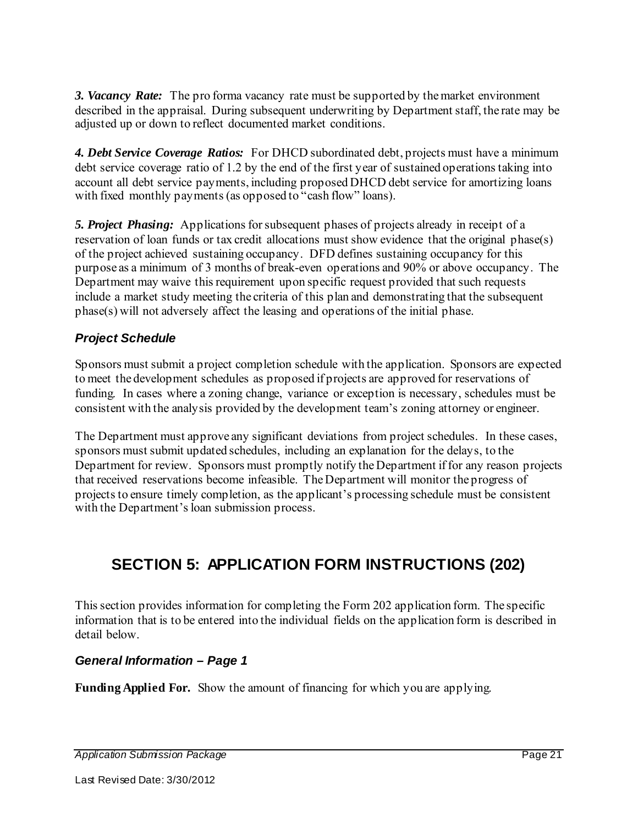*3. Vacancy Rate:* The pro forma vacancy rate must be supported by the market environment described in the appraisal. During subsequent underwriting by Department staff, the rate may be adjusted up or down to reflect documented market conditions.

*4. Debt Service Coverage Ratios:* For DHCD subordinated debt, projects must have a minimum debt service coverage ratio of 1.2 by the end of the first year of sustained operations taking into account all debt service payments, including proposed DHCD debt service for amortizing loans with fixed monthly payments (as opposed to "cash flow" loans).

*5. Project Phasing:* Applications for subsequent phases of projects already in receipt of a reservation of loan funds or tax credit allocations must show evidence that the original phase(s) of the project achieved sustaining occupancy. DFD defines sustaining occupancy for this purpose as a minimum of 3 months of break-even operations and 90% or above occupancy. The Department may waive this requirement upon specific request provided that such requests include a market study meeting the criteria of this plan and demonstrating that the subsequent phase(s) will not adversely affect the leasing and operations of the initial phase.

#### *Project Schedule*

Sponsors must submit a project completion schedule with the application. Sponsors are expected to meet the development schedules as proposed if projects are approved for reservations of funding. In cases where a zoning change, variance or exception is necessary, schedules must be consistent with the analysis provided by the development team's zoning attorney or engineer.

The Department must approve any significant deviations from project schedules. In these cases, sponsors must submit updated schedules, including an explanation for the delays, to the Department for review. Sponsors must promptly notify the Department if for any reason projects that received reservations become infeasible. The Department will monitor the progress of projects to ensure timely completion, as the applicant's processing schedule must be consistent with the Department's loan submission process.

## **SECTION 5: APPLICATION FORM INSTRUCTIONS (202)**

This section provides information for completing the Form 202 application form. The specific information that is to be entered into the individual fields on the application form is described in detail below.

#### *General Information – Page 1*

**Funding Applied For.** Show the amount of financing for which you are applying.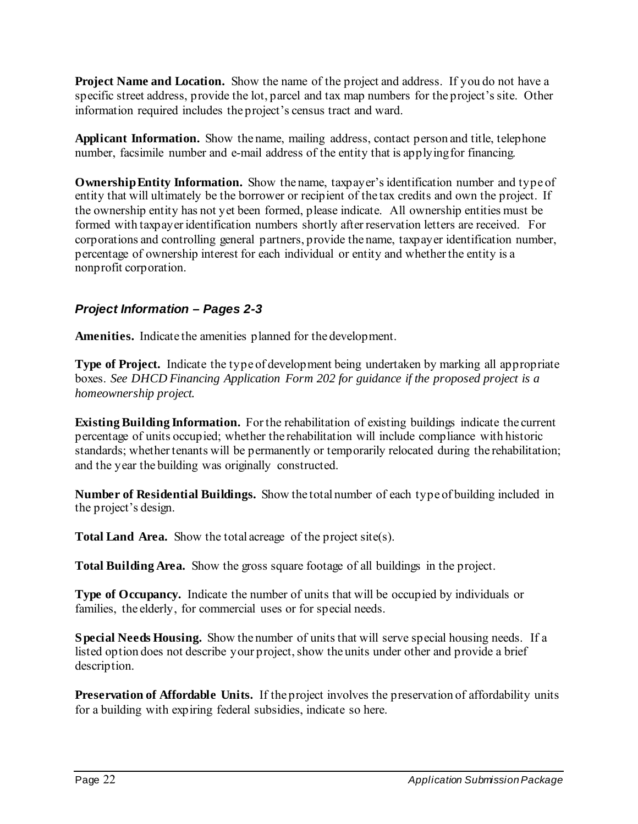**Project Name and Location.** Show the name of the project and address. If you do not have a specific street address, provide the lot, parcel and tax map numbers for the project's site. Other information required includes the project's census tract and ward.

**Applicant Information.** Show the name, mailing address, contact person and title, telephone number, facsimile number and e-mail address of the entity that is applying for financing.

**Ownership Entity Information.** Show the name, taxpayer's identification number and type of entity that will ultimately be the borrower or recipient of the tax credits and own the project. If the ownership entity has not yet been formed, please indicate. All ownership entities must be formed with taxpayer identification numbers shortly after reservation letters are received. For corporations and controlling general partners, provide the name, taxpayer identification number, percentage of ownership interest for each individual or entity and whether the entity is a nonprofit corporation.

#### *Project Information – Pages 2-3*

**Amenities.** Indicate the amenities planned for the development.

**Type of Project.** Indicate the type of development being undertaken by marking all appropriate boxes. *See DHCD Financing Application Form 202 for guidance if the proposed project is a homeownership project.* 

**Existing Building Information.** For the rehabilitation of existing buildings indicate the current percentage of units occupied; whether the rehabilitation will include compliance with historic standards; whether tenants will be permanently or temporarily relocated during the rehabilitation; and the year the building was originally constructed.

**Number of Residential Buildings.** Show the total number of each type of building included in the project's design.

**Total Land Area.** Show the total acreage of the project site(s).

**Total Building Area.** Show the gross square footage of all buildings in the project.

**Type of Occupancy.** Indicate the number of units that will be occupied by individuals or families, the elderly, for commercial uses or for special needs.

**Special Needs Housing.** Show the number of units that will serve special housing needs. If a listed option does not describe your project, show the units under other and provide a brief description.

**Preservation of Affordable Units.** If the project involves the preservation of affordability units for a building with expiring federal subsidies, indicate so here.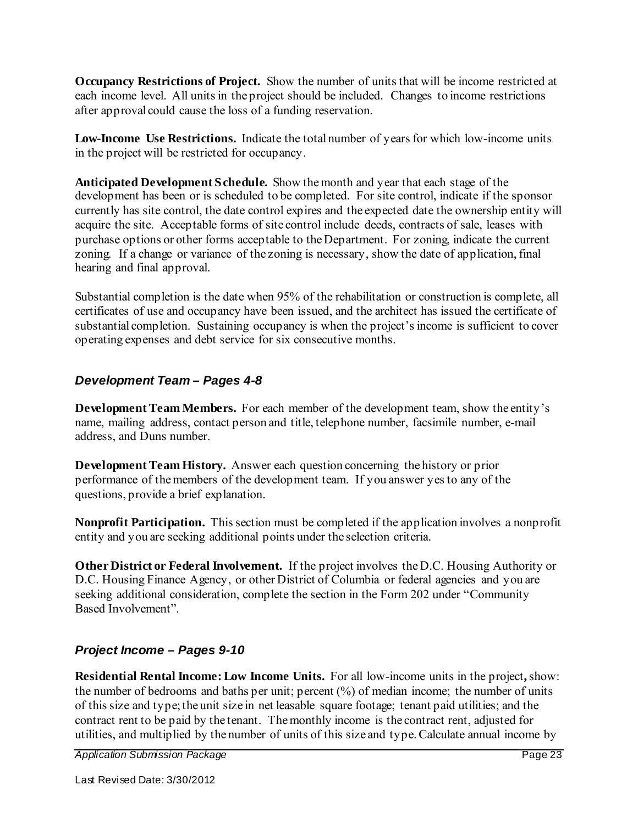**Occupancy Restrictions of Project.** Show the number of units that will be income restricted at each income level. All units in the project should be included. Changes to income restrictions after approval could cause the loss of a funding reservation.

**Low-Income Use Restrictions.** Indicate the total number of years for which low-income units in the project will be restricted for occupancy.

**Anticipated Development Schedule.** Show the month and year that each stage of the development has been or is scheduled to be completed. For site control, indicate if the sponsor currently has site control, the date control expires and the expected date the ownership entity will acquire the site. Acceptable forms of site control include deeds, contracts of sale, leases with purchase options or other forms acceptable to the Department. For zoning, indicate the current zoning. If a change or variance of the zoning is necessary, show the date of application, final hearing and final approval.

Substantial completion is the date when 95% of the rehabilitation or construction is complete, all certificates of use and occupancy have been issued, and the architect has issued the certificate of substantial completion. Sustaining occupancy is when the project's income is sufficient to cover operating expenses and debt service for six consecutive months.

#### *Development Team – Pages 4-8*

**Development Team Members.** For each member of the development team, show the entity's name, mailing address, contact person and title, telephone number, facsimile number, e-mail address, and Duns number.

**Development Team History.** Answer each question concerning the history or prior performance of the members of the development team. If you answer yes to any of the questions, provide a brief explanation.

**Nonprofit Participation.** This section must be completed if the application involves a nonprofit entity and you are seeking additional points under the selection criteria.

**Other District or Federal Involvement.** If the project involves the D.C. Housing Authority or D.C. Housing Finance Agency, or other District of Columbia or federal agencies and you are seeking additional consideration, complete the section in the Form 202 under "Community Based Involvement".

#### *Project Income – Pages 9-10*

**Residential Rental Income: Low Income Units.** For all low-income units in the project**,** show: the number of bedrooms and baths per unit; percent (%) of median income; the number of units of this size and type; the unit size in net leasable square footage; tenant paid utilities; and the contract rent to be paid by the tenant. The monthly income is the contract rent, adjusted for utilities, and multiplied by the number of units of this size and type. Calculate annual income by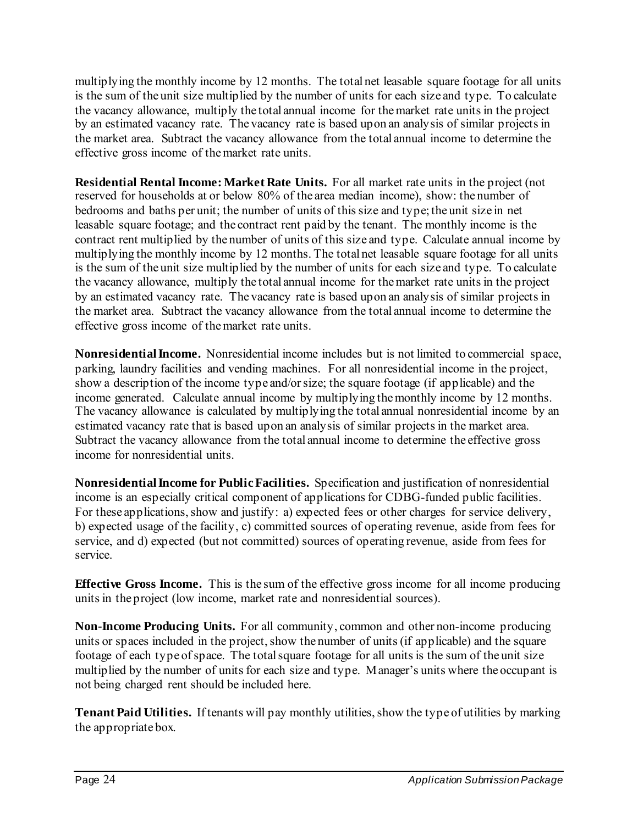multiplying the monthly income by 12 months. The total net leasable square footage for all units is the sum of the unit size multiplied by the number of units for each size and type. To calculate the vacancy allowance, multiply the total annual income for the market rate units in the project by an estimated vacancy rate. The vacancy rate is based upon an analysis of similar projects in the market area. Subtract the vacancy allowance from the total annual income to determine the effective gross income of the market rate units.

**Residential Rental Income: Market Rate Units.** For all market rate units in the project (not reserved for households at or below 80% of the area median income), show: the number of bedrooms and baths per unit; the number of units of this size and type; the unit size in net leasable square footage; and the contract rent paid by the tenant. The monthly income is the contract rent multiplied by the number of units of this size and type. Calculate annual income by multiplying the monthly income by 12 months. The total net leasable square footage for all units is the sum of the unit size multiplied by the number of units for each size and type. To calculate the vacancy allowance, multiply the total annual income for the market rate units in the project by an estimated vacancy rate. The vacancy rate is based upon an analysis of similar projects in the market area. Subtract the vacancy allowance from the total annual income to determine the effective gross income of the market rate units.

**Nonresidential Income.** Nonresidential income includes but is not limited to commercial space, parking, laundry facilities and vending machines. For all nonresidential income in the project, show a description of the income type and/or size; the square footage (if applicable) and the income generated. Calculate annual income by multiplying the monthly income by 12 months. The vacancy allowance is calculated by multiplying the total annual nonresidential income by an estimated vacancy rate that is based upon an analysis of similar projects in the market area. Subtract the vacancy allowance from the total annual income to determine the effective gross income for nonresidential units.

**Nonresidential Income for Public Facilities.** Specification and justification of nonresidential income is an especially critical component of applications for CDBG-funded public facilities. For these applications, show and justify: a) expected fees or other charges for service delivery, b) expected usage of the facility, c) committed sources of operating revenue, aside from fees for service, and d) expected (but not committed) sources of operating revenue, aside from fees for service.

**Effective Gross Income.** This is the sum of the effective gross income for all income producing units in the project (low income, market rate and nonresidential sources).

**Non-Income Producing Units.** For all community, common and other non-income producing units or spaces included in the project, show the number of units (if applicable) and the square footage of each type of space. The total square footage for all units is the sum of the unit size multiplied by the number of units for each size and type. Manager's units where the occupant is not being charged rent should be included here.

**Tenant Paid Utilities.** If tenants will pay monthly utilities, show the type of utilities by marking the appropriate box.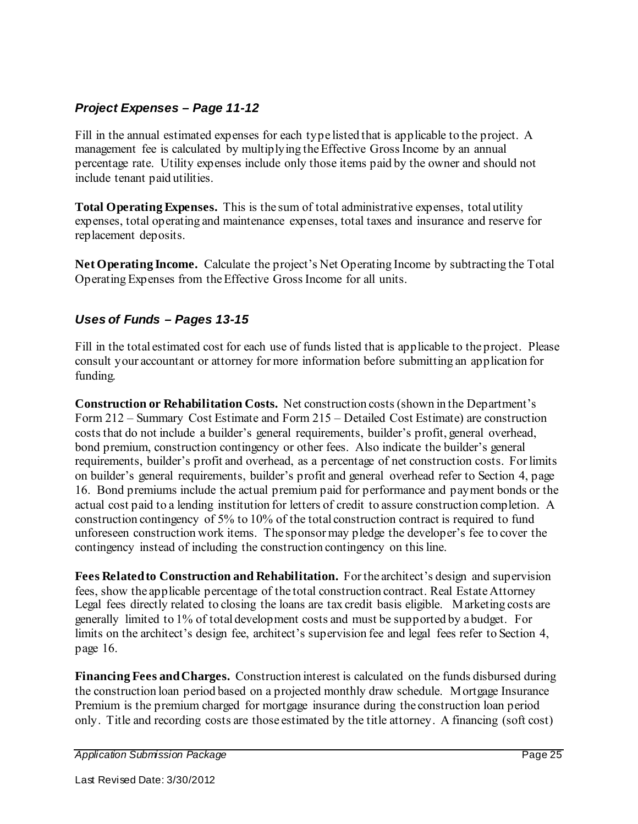#### *Project Expenses – Page 11-12*

Fill in the annual estimated expenses for each type listed that is applicable to the project. A management fee is calculated by multiplying the Effective Gross Income by an annual percentage rate. Utility expenses include only those items paid by the owner and should not include tenant paid utilities.

**Total Operating Expenses.** This is the sum of total administrative expenses, total utility expenses, total operating and maintenance expenses, total taxes and insurance and reserve for replacement deposits.

**Net Operating Income.** Calculate the project's Net Operating Income by subtracting the Total Operating Expenses from the Effective Gross Income for all units.

#### *Uses of Funds – Pages 13-15*

Fill in the total estimated cost for each use of funds listed that is applicable to the project. Please consult your accountant or attorney for more information before submitting an application for funding.

**Construction or Rehabilitation Costs.** Net construction costs (shown in the Department's Form 212 – Summary Cost Estimate and Form 215 – Detailed Cost Estimate) are construction costs that do not include a builder's general requirements, builder's profit, general overhead, bond premium, construction contingency or other fees. Also indicate the builder's general requirements, builder's profit and overhead, as a percentage of net construction costs. For limits on builder's general requirements, builder's profit and general overhead refer to Section 4, page 16. Bond premiums include the actual premium paid for performance and payment bonds or the actual cost paid to a lending institution for letters of credit to assure construction completion. A construction contingency of 5% to 10% of the total construction contract is required to fund unforeseen construction work items. The sponsor may pledge the developer's fee to cover the contingency instead of including the construction contingency on this line.

**Fees Related to Construction and Rehabilitation.** For the architect's design and supervision fees, show the applicable percentage of the total construction contract. Real Estate Attorney Legal fees directly related to closing the loans are tax credit basis eligible. Marketing costs are generally limited to 1% of total development costs and must be supported by a budget. For limits on the architect's design fee, architect's supervision fee and legal fees refer to Section 4, page 16.

**Financing Fees and Charges.** Construction interest is calculated on the funds disbursed during the construction loan period based on a projected monthly draw schedule. Mortgage Insurance Premium is the premium charged for mortgage insurance during the construction loan period only. Title and recording costs are those estimated by the title attorney. A financing (soft cost)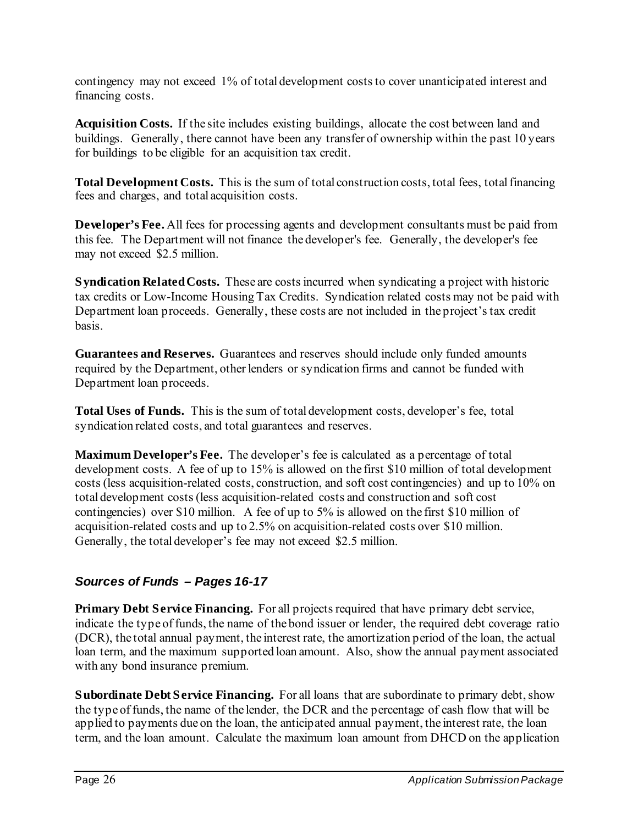contingency may not exceed 1% of total development costs to cover unanticipated interest and financing costs.

**Acquisition Costs.** If the site includes existing buildings, allocate the cost between land and buildings. Generally, there cannot have been any transfer of ownership within the past 10 years for buildings to be eligible for an acquisition tax credit.

**Total Development Costs.** This is the sum of total construction costs, total fees, total financing fees and charges, and total acquisition costs.

**Developer's Fee.** All fees for processing agents and development consultants must be paid from this fee. The Department will not finance the developer's fee. Generally, the developer's fee may not exceed \$2.5 million.

**Syndication Related Costs.** These are costs incurred when syndicating a project with historic tax credits or Low-Income Housing Tax Credits. Syndication related costs may not be paid with Department loan proceeds. Generally, these costs are not included in the project's tax credit basis.

**Guarantees and Reserves.** Guarantees and reserves should include only funded amounts required by the Department, other lenders or syndication firms and cannot be funded with Department loan proceeds.

**Total Uses of Funds.** This is the sum of total development costs, developer's fee, total syndication related costs, and total guarantees and reserves.

**Maximum Developer's Fee.** The developer's fee is calculated as a percentage of total development costs. A fee of up to 15% is allowed on the first \$10 million of total development costs (less acquisition-related costs, construction, and soft cost contingencies) and up to 10% on total development costs (less acquisition-related costs and construction and soft cost contingencies) over \$10 million. A fee of up to 5% is allowed on the first \$10 million of acquisition-related costs and up to 2.5% on acquisition-related costs over \$10 million. Generally, the total developer's fee may not exceed \$2.5 million.

#### *Sources of Funds – Pages 16-17*

**Primary Debt Service Financing.** For all projects required that have primary debt service, indicate the type of funds, the name of the bond issuer or lender, the required debt coverage ratio (DCR), the total annual payment, the interest rate, the amortization period of the loan, the actual loan term, and the maximum supported loan amount. Also, show the annual payment associated with any bond insurance premium.

**Subordinate Debt Service Financing.** For all loans that are subordinate to primary debt, show the type of funds, the name of the lender, the DCR and the percentage of cash flow that will be applied to payments due on the loan, the anticipated annual payment, the interest rate, the loan term, and the loan amount. Calculate the maximum loan amount from DHCD on the application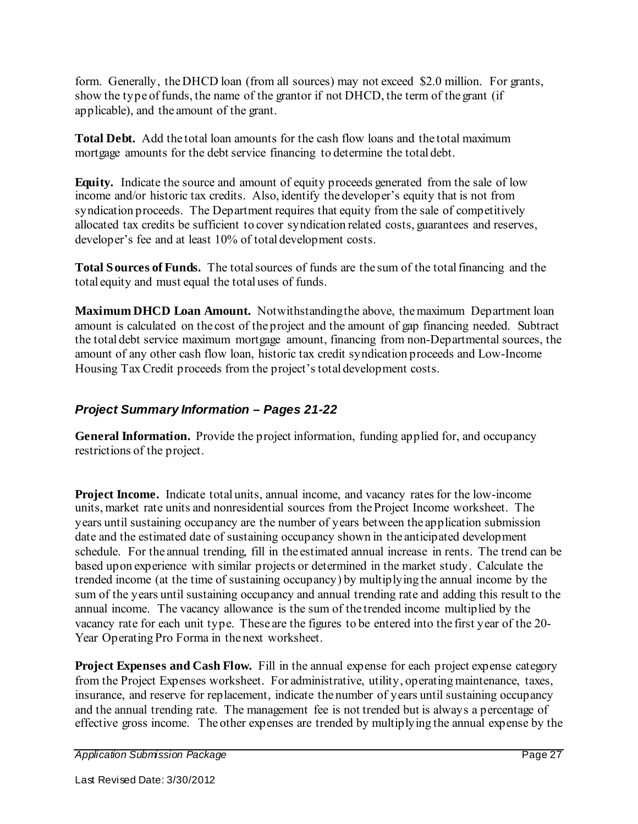form. Generally, the DHCD loan (from all sources) may not exceed \$2.0 million. For grants, show the type of funds, the name of the grantor if not DHCD, the term of the grant (if applicable), and the amount of the grant.

**Total Debt.** Add the total loan amounts for the cash flow loans and the total maximum mortgage amounts for the debt service financing to determine the total debt.

**Equity.** Indicate the source and amount of equity proceeds generated from the sale of low income and/or historic tax credits. Also, identify the developer's equity that is not from syndication proceeds. The Department requires that equity from the sale of competitively allocated tax credits be sufficient to cover syndication related costs, guarantees and reserves, developer's fee and at least 10% of total development costs.

**Total Sources of Funds.** The total sources of funds are the sum of the total financing and the total equity and must equal the total uses of funds.

**Maximum DHCD Loan Amount.** Notwithstanding the above, the maximum Department loan amount is calculated on the cost of the project and the amount of gap financing needed. Subtract the total debt service maximum mortgage amount, financing from non-Departmental sources, the amount of any other cash flow loan, historic tax credit syndication proceeds and Low-Income Housing Tax Credit proceeds from the project's total development costs.

#### *Project Summary Information – Pages 21-22*

**General Information.** Provide the project information, funding applied for, and occupancy restrictions of the project.

**Project Income.** Indicate total units, annual income, and vacancy rates for the low-income units, market rate units and nonresidential sources from the Project Income worksheet. The years until sustaining occupancy are the number of years between the application submission date and the estimated date of sustaining occupancy shown in the anticipated development schedule. For the annual trending, fill in the estimated annual increase in rents. The trend can be based upon experience with similar projects or determined in the market study. Calculate the trended income (at the time of sustaining occupancy) by multiplying the annual income by the sum of the years until sustaining occupancy and annual trending rate and adding this result to the annual income. The vacancy allowance is the sum of the trended income multiplied by the vacancy rate for each unit type. These are the figures to be entered into the first year of the 20- Year Operating Pro Forma in the next worksheet.

**Project Expenses and Cash Flow.** Fill in the annual expense for each project expense category from the Project Expenses worksheet. For administrative, utility, operating maintenance, taxes, insurance, and reserve for replacement, indicate the number of years until sustaining occupancy and the annual trending rate. The management fee is not trended but is always a percentage of effective gross income. The other expenses are trended by multiplying the annual expense by the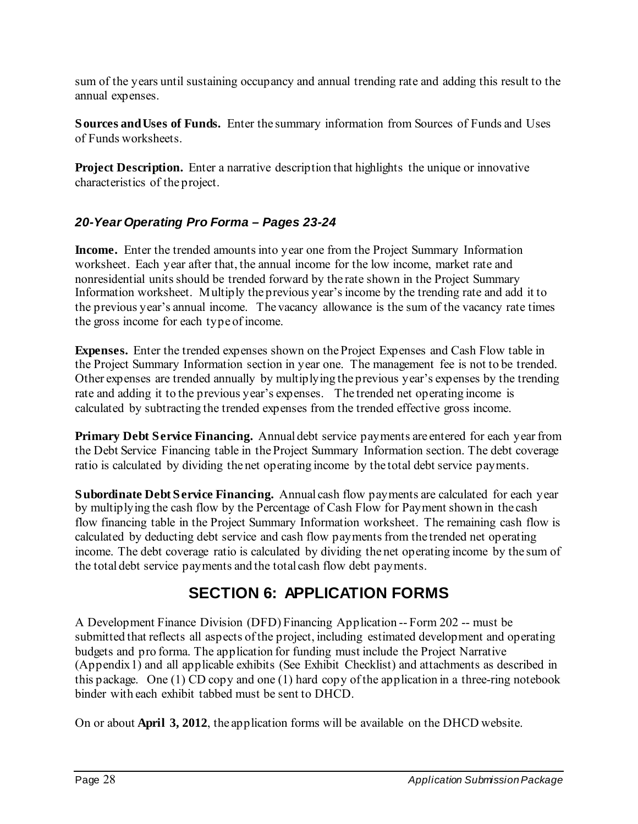sum of the years until sustaining occupancy and annual trending rate and adding this result to the annual expenses.

**Sources and Uses of Funds.** Enter the summary information from Sources of Funds and Uses of Funds worksheets.

**Project Description.** Enter a narrative description that highlights the unique or innovative characteristics of the project.

#### *20-Year Operating Pro Forma – Pages 23-24*

**Income.** Enter the trended amounts into year one from the Project Summary Information worksheet. Each year after that, the annual income for the low income, market rate and nonresidential units should be trended forward by the rate shown in the Project Summary Information worksheet. Multiply the previous year's income by the trending rate and add it to the previous year's annual income. The vacancy allowance is the sum of the vacancy rate times the gross income for each type of income.

**Expenses.** Enter the trended expenses shown on the Project Expenses and Cash Flow table in the Project Summary Information section in year one. The management fee is not to be trended. Other expenses are trended annually by multiplying the previous year's expenses by the trending rate and adding it to the previous year's expenses. The trended net operating income is calculated by subtracting the trended expenses from the trended effective gross income.

**Primary Debt Service Financing.** Annual debt service payments are entered for each year from the Debt Service Financing table in the Project Summary Information section. The debt coverage ratio is calculated by dividing the net operating income by the total debt service payments.

**Subordinate Debt Service Financing.** Annual cash flow payments are calculated for each year by multiplying the cash flow by the Percentage of Cash Flow for Payment shown in the cash flow financing table in the Project Summary Information worksheet. The remaining cash flow is calculated by deducting debt service and cash flow payments from the trended net operating income. The debt coverage ratio is calculated by dividing the net operating income by the sum of the total debt service payments and the total cash flow debt payments.

## **SECTION 6: APPLICATION FORMS**

A Development Finance Division (DFD) Financing Application -- Form 202 -- must be submitted that reflects all aspects of the project, including estimated development and operating budgets and pro forma. The application for funding must include the Project Narrative (Appendix 1) and all applicable exhibits (See Exhibit Checklist) and attachments as described in this package. One (1) CD copy and one (1) hard copy of the application in a three-ring notebook binder with each exhibit tabbed must be sent to DHCD.

On or about **April 3, 2012**, the application forms will be available on the DHCD website.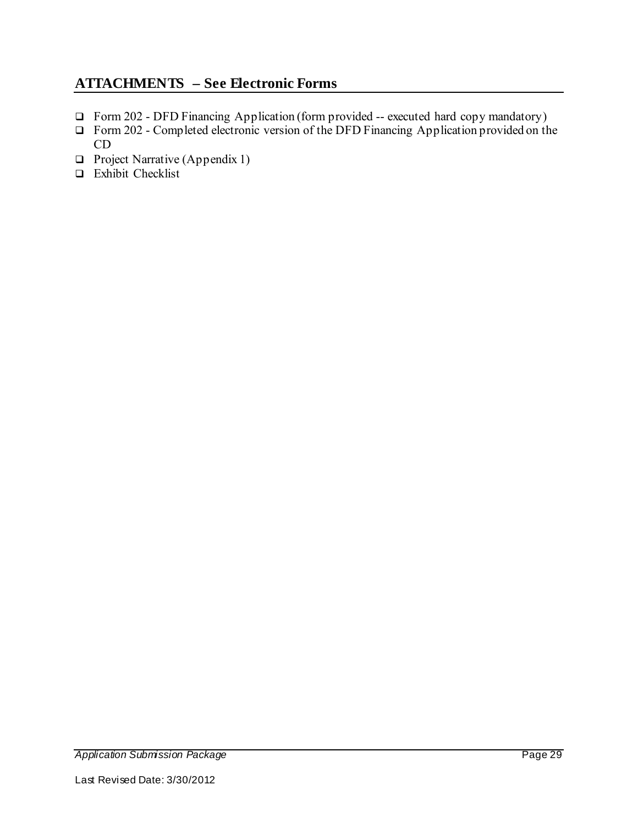#### **ATTACHMENTS – See Electronic Forms**

- Form 202 DFD Financing Application (form provided -- executed hard copy mandatory)
- □ Form 202 Completed electronic version of the DFD Financing Application provided on the CD
- $\Box$  Project Narrative (Appendix 1)
- $\Box$  Exhibit Checklist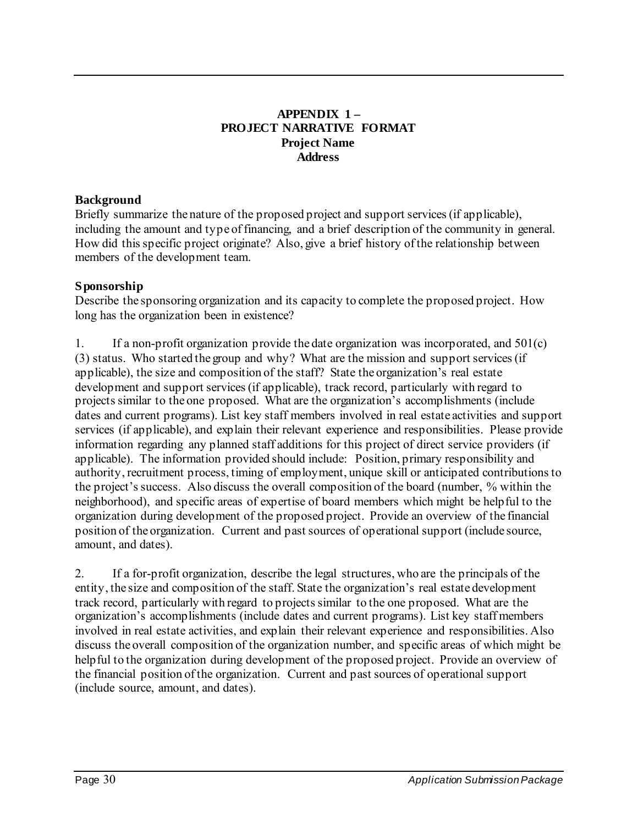#### **APPENDIX 1 – PROJECT NARRATIVE FORMAT Project Name Address**

#### **Background**

Briefly summarize the nature of the proposed project and support services (if applicable), including the amount and type of financing, and a brief description of the community in general. How did this specific project originate? Also, give a brief history of the relationship between members of the development team.

#### **Sponsorship**

Describe the sponsoring organization and its capacity to complete the proposed project. How long has the organization been in existence?

1. If a non-profit organization provide the date organization was incorporated, and 501(c) (3) status. Who started the group and why? What are the mission and support services (if applicable), the size and composition of the staff? State the organization's real estate development and support services (if applicable), track record, particularly with regard to projects similar to the one proposed. What are the organization's accomplishments (include dates and current programs). List key staff members involved in real estate activities and support services (if applicable), and explain their relevant experience and responsibilities. Please provide information regarding any planned staff additions for this project of direct service providers (if applicable). The information provided should include: Position, primary responsibility and authority, recruitment process, timing of employment, unique skill or anticipated contributions to the project's success. Also discuss the overall composition of the board (number, % within the neighborhood), and specific areas of expertise of board members which might be helpful to the organization during development of the proposed project. Provide an overview of the financial position of the organization. Current and past sources of operational support (include source, amount, and dates).

2. If a for-profit organization, describe the legal structures, who are the principals of the entity, the size and composition of the staff. State the organization's real estate development track record, particularly with regard to projects similar to the one proposed. What are the organization's accomplishments (include dates and current programs). List key staff members involved in real estate activities, and explain their relevant experience and responsibilities. Also discuss the overall composition of the organization number, and specific areas of which might be helpful to the organization during development of the proposed project. Provide an overview of the financial position of the organization. Current and past sources of operational support (include source, amount, and dates).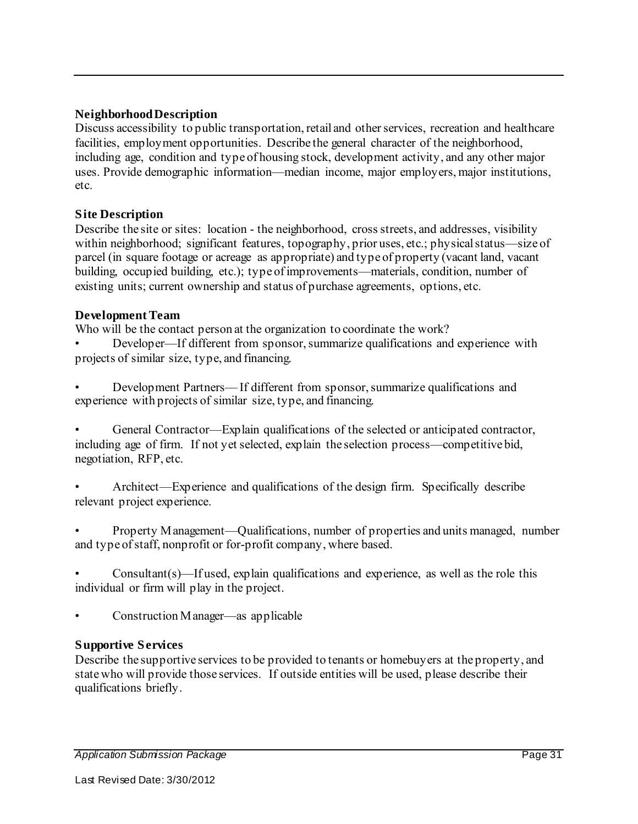#### **Neighborhood Description**

Discuss accessibility to public transportation, retail and other services, recreation and healthcare facilities, employment opportunities. Describe the general character of the neighborhood, including age, condition and type of housing stock, development activity, and any other major uses. Provide demographic information—median income, major employers, major institutions, etc.

#### **Site Description**

Describe the site or sites: location - the neighborhood, cross streets, and addresses, visibility within neighborhood; significant features, topography, prior uses, etc.; physical status—size of parcel (in square footage or acreage as appropriate) and type of property (vacant land, vacant building, occupied building, etc.); type of improvements—materials, condition, number of existing units; current ownership and status of purchase agreements, options, etc.

#### **Development Team**

Who will be the contact person at the organization to coordinate the work?

• Developer—If different from sponsor, summarize qualifications and experience with projects of similar size, type, and financing.

• Development Partners— If different from sponsor, summarize qualifications and experience with projects of similar size, type, and financing.

• General Contractor—Explain qualifications of the selected or anticipated contractor, including age of firm. If not yet selected, explain the selection process—competitive bid, negotiation, RFP, etc.

• Architect—Experience and qualifications of the design firm. Specifically describe relevant project experience.

• Property Management—Qualifications, number of properties and units managed, number and type of staff, nonprofit or for-profit company, where based.

 $Constant(s)$ —If used, explain qualifications and experience, as well as the role this individual or firm will play in the project.

• Construction Manager—as applicable

#### **Supportive Services**

Describe the supportive services to be provided to tenants or homebuyers at the property, and state who will provide those services. If outside entities will be used, please describe their qualifications briefly.